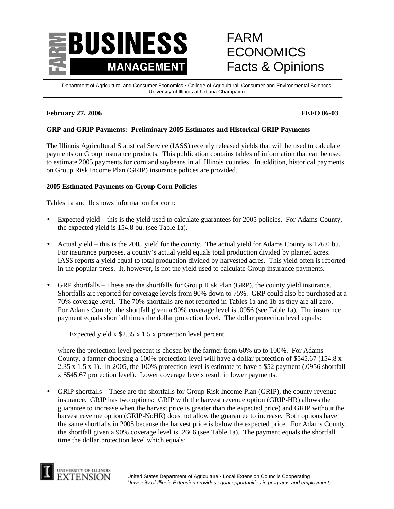

# FARM **ECONOMICS** Facts & Opinions

Department of Agricultural and Consumer Economics • College of Agricultural, Consumer and Environmental Sciences University of Illinois at Urbana-Champaign

# **February 27, 2006 FEFO 06-03**

### **GRP and GRIP Payments: Preliminary 2005 Estimates and Historical GRIP Payments**

The Illinois Agricultural Statistical Service (IASS) recently released yields that will be used to calculate payments on Group insurance products. This publication contains tables of information that can be used to estimate 2005 payments for corn and soybeans in all Illinois counties. In addition, historical payments on Group Risk Income Plan (GRIP) insurance polices are provided.

#### **2005 Estimated Payments on Group Corn Policies**

Tables 1a and 1b shows information for corn:

- Expected yield this is the yield used to calculate guarantees for 2005 policies. For Adams County, the expected yield is 154.8 bu. (see Table 1a).
- Actual yield this is the 2005 yield for the county. The actual yield for Adams County is 126.0 bu. For insurance purposes, a county's actual yield equals total production divided by planted acres. IASS reports a yield equal to total production divided by harvested acres. This yield often is reported in the popular press. It, however, is not the yield used to calculate Group insurance payments.
- GRP shortfalls These are the shortfalls for Group Risk Plan (GRP), the county yield insurance. Shortfalls are reported for coverage levels from 90% down to 75%. GRP could also be purchased at a 70% coverage level. The 70% shortfalls are not reported in Tables 1a and 1b as they are all zero. For Adams County, the shortfall given a 90% coverage level is .0956 (see Table 1a). The insurance payment equals shortfall times the dollar protection level. The dollar protection level equals:

Expected yield x \$2.35 x 1.5 x protection level percent

where the protection level percent is chosen by the farmer from 60% up to 100%. For Adams County, a farmer choosing a 100% protection level will have a dollar protection of \$545.67 (154.8 x 2.35 x 1.5 x 1). In 2005, the 100% protection level is estimate to have a \$52 payment (.0956 shortfall x \$545.67 protection level). Lower coverage levels result in lower payments.

• GRIP shortfalls – These are the shortfalls for Group Risk Income Plan (GRIP), the county revenue insurance. GRIP has two options: GRIP with the harvest revenue option (GRIP-HR) allows the guarantee to increase when the harvest price is greater than the expected price) and GRIP without the harvest revenue option (GRIP-NoHR) does not allow the guarantee to increase. Both options have the same shortfalls in 2005 because the harvest price is below the expected price. For Adams County, the shortfall given a 90% coverage level is .2666 (see Table 1a). The payment equals the shortfall time the dollar protection level which equals:

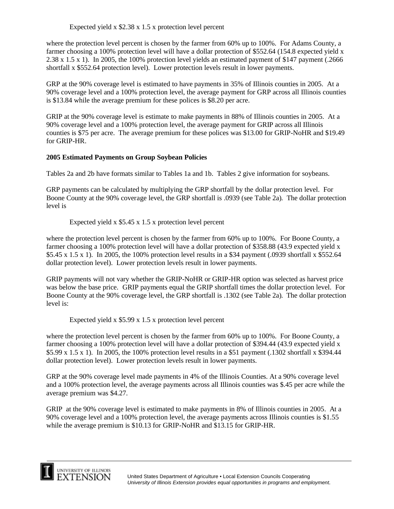Expected yield x \$2.38 x 1.5 x protection level percent

where the protection level percent is chosen by the farmer from 60% up to 100%. For Adams County, a farmer choosing a 100% protection level will have a dollar protection of \$552.64 (154.8 expected yield x 2.38 x 1.5 x 1). In 2005, the 100% protection level yields an estimated payment of \$147 payment (.2666 shortfall x \$552.64 protection level). Lower protection levels result in lower payments.

GRP at the 90% coverage level is estimated to have payments in 35% of Illinois counties in 2005. At a 90% coverage level and a 100% protection level, the average payment for GRP across all Illinois counties is \$13.84 while the average premium for these polices is \$8.20 per acre.

GRIP at the 90% coverage level is estimate to make payments in 88% of Illinois counties in 2005. At a 90% coverage level and a 100% protection level, the average payment for GRIP across all Illinois counties is \$75 per acre. The average premium for these polices was \$13.00 for GRIP-NoHR and \$19.49 for GRIP-HR.

#### **2005 Estimated Payments on Group Soybean Policies**

Tables 2a and 2b have formats similar to Tables 1a and 1b. Tables 2 give information for soybeans.

GRP payments can be calculated by multiplying the GRP shortfall by the dollar protection level. For Boone County at the 90% coverage level, the GRP shortfall is .0939 (see Table 2a). The dollar protection level is

Expected yield x \$5.45 x 1.5 x protection level percent

where the protection level percent is chosen by the farmer from 60% up to 100%. For Boone County, a farmer choosing a 100% protection level will have a dollar protection of \$358.88 (43.9 expected yield x \$5.45 x 1.5 x 1). In 2005, the 100% protection level results in a \$34 payment (.0939 shortfall x \$552.64 dollar protection level). Lower protection levels result in lower payments.

GRIP payments will not vary whether the GRIP-NoHR or GRIP-HR option was selected as harvest price was below the base price. GRIP payments equal the GRIP shortfall times the dollar protection level. For Boone County at the 90% coverage level, the GRP shortfall is .1302 (see Table 2a). The dollar protection level is:

Expected yield x \$5.99 x 1.5 x protection level percent

where the protection level percent is chosen by the farmer from 60% up to 100%. For Boone County, a farmer choosing a 100% protection level will have a dollar protection of \$394.44 (43.9 expected yield x \$5.99 x 1.5 x 1). In 2005, the 100% protection level results in a \$51 payment (.1302 shortfall x \$394.44 dollar protection level). Lower protection levels result in lower payments.

GRP at the 90% coverage level made payments in 4% of the Illinois Counties. At a 90% coverage level and a 100% protection level, the average payments across all Illinois counties was \$.45 per acre while the average premium was \$4.27.

GRIP at the 90% coverage level is estimated to make payments in 8% of Illinois counties in 2005. At a 90% coverage level and a 100% protection level, the average payments across Illinois counties is \$1.55 while the average premium is \$10.13 for GRIP-NoHR and \$13.15 for GRIP-HR.

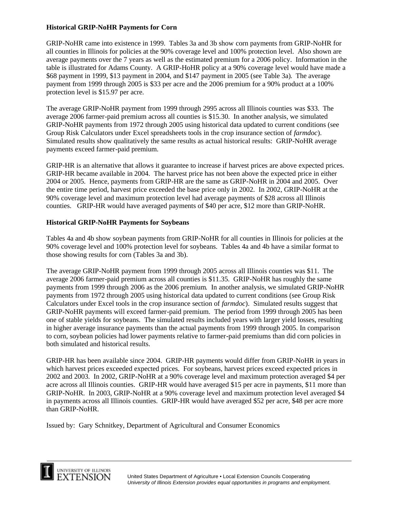### **Historical GRIP-NoHR Payments for Corn**

GRIP-NoHR came into existence in 1999. Tables 3a and 3b show corn payments from GRIP-NoHR for all counties in Illinois for policies at the 90% coverage level and 100% protection level. Also shown are average payments over the 7 years as well as the estimated premium for a 2006 policy. Information in the table is illustrated for Adams County. A GRIP-HoHR policy at a 90% coverage level would have made a \$68 payment in 1999, \$13 payment in 2004, and \$147 payment in 2005 (see Table 3a). The average payment from 1999 through 2005 is \$33 per acre and the 2006 premium for a 90% product at a 100% protection level is \$15.97 per acre.

The average GRIP-NoHR payment from 1999 through 2995 across all Illinois counties was \$33. The average 2006 farmer-paid premium across all counties is \$15.30. In another analysis, we simulated GRIP-NoHR payments from 1972 through 2005 using historical data updated to current conditions (see Group Risk Calculators under Excel spreadsheets tools in the crop insurance section of *farmdoc*). Simulated results show qualitatively the same results as actual historical results: GRIP-NoHR average payments exceed farmer-paid premium.

GRIP-HR is an alternative that allows it guarantee to increase if harvest prices are above expected prices. GRIP-HR became available in 2004. The harvest price has not been above the expected price in either 2004 or 2005. Hence, payments from GRIP-HR are the same as GRIP-NoHR in 2004 and 2005. Over the entire time period, harvest price exceeded the base price only in 2002. In 2002, GRIP-NoHR at the 90% coverage level and maximum protection level had average payments of \$28 across all Illinois counties. GRIP-HR would have averaged payments of \$40 per acre, \$12 more than GRIP-NoHR.

#### **Historical GRIP-NoHR Payments for Soybeans**

Tables 4a and 4b show soybean payments from GRIP-NoHR for all counties in Illinois for policies at the 90% coverage level and 100% protection level for soybeans. Tables 4a and 4b have a similar format to those showing results for corn (Tables 3a and 3b).

The average GRIP-NoHR payment from 1999 through 2005 across all Illinois counties was \$11. The average 2006 farmer-paid premium across all counties is \$11.35. GRIP-NoHR has roughly the same payments from 1999 through 2006 as the 2006 premium. In another analysis, we simulated GRIP-NoHR payments from 1972 through 2005 using historical data updated to current conditions (see Group Risk Calculators under Excel tools in the crop insurance section of *farmdoc*). Simulated results suggest that GRIP-NoHR payments will exceed farmer-paid premium. The period from 1999 through 2005 has been one of stable yields for soybeans. The simulated results included years with larger yield losses, resulting in higher average insurance payments than the actual payments from 1999 through 2005. In comparison to corn, soybean policies had lower payments relative to farmer-paid premiums than did corn policies in both simulated and historical results.

GRIP-HR has been available since 2004. GRIP-HR payments would differ from GRIP-NoHR in years in which harvest prices exceeded expected prices. For soybeans, harvest prices exceed expected prices in 2002 and 2003. In 2002, GRIP-NoHR at a 90% coverage level and maximum protection averaged \$4 per acre across all Illinois counties. GRIP-HR would have averaged \$15 per acre in payments, \$11 more than GRIP-NoHR. In 2003, GRIP-NoHR at a 90% coverage level and maximum protection level averaged \$4 in payments across all Illinois counties. GRIP-HR would have averaged \$52 per acre, \$48 per acre more than GRIP-NoHR.

Issued by: Gary Schnitkey, Department of Agricultural and Consumer Economics

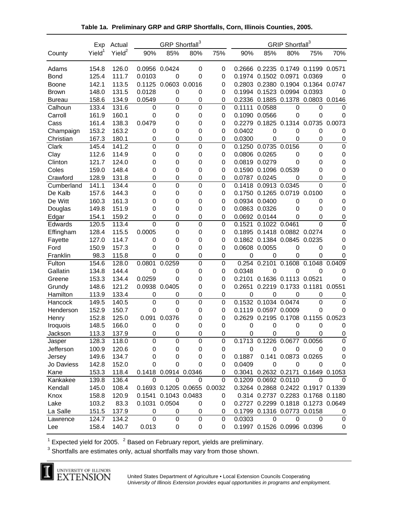|                 | Exp                | Actual             |               | GRP Shortfall <sup>3</sup> |        |             |               |                             | GRIP Shortfall <sup>3</sup> |                                    |                  |
|-----------------|--------------------|--------------------|---------------|----------------------------|--------|-------------|---------------|-----------------------------|-----------------------------|------------------------------------|------------------|
| County          | Yield <sup>1</sup> | Yield <sup>2</sup> | 90%           | 85%                        | 80%    | 75%         | 90%           | 85%                         | 80%                         | 75%                                | 70%              |
| Adams           | 154.8              | 126.0              | 0.0956 0.0424 |                            | 0      | 0           |               |                             |                             | 0.2666 0.2235 0.1749 0.1199 0.0571 |                  |
| <b>Bond</b>     | 125.4              | 111.7              | 0.0103        | 0                          | 0      | 0           |               | 0.1974 0.1502 0.0971        |                             | 0.0369                             | 0                |
| <b>Boone</b>    | 142.1              | 113.5              |               | 0.1125 0.0603              | 0.0016 | 0           |               | 0.2803 0.2380 0.1904        |                             | 0.1364 0.0747                      |                  |
| <b>Brown</b>    | 148.0              | 131.5              | 0.0128        | $\mathbf 0$                | 0      | 0           | 0.1994        | 0.1523 0.0994 0.0393        |                             |                                    | 0                |
| <b>Bureau</b>   | 158.6              | 134.9              | 0.0549        | $\mathbf 0$                | 0      | 0           |               | 0.2336 0.1885 0.1378        |                             | 0.0803 0.0146                      |                  |
| Calhoun         | 133.4              | 131.6              | 0             | $\mathbf 0$                | 0      | 0           | 0.1111        | 0.0588                      | 0                           | 0                                  | 0                |
| Carroll         | 161.9              | 160.1              | 0             | 0                          | 0      | 0           |               | 0.1090 0.0566               | 0                           | 0                                  | 0                |
| Cass            | 161.4              | 138.3              | 0.0479        | 0                          | 0      | 0           |               | 0.2279 0.1825 0.1314        |                             | 0.0735                             | 0.0073           |
| Champaign       | 153.2              | 163.2              | 0             | 0                          | 0      | 0           | 0.0402        | 0                           | $\mathbf 0$                 | 0                                  | 0                |
| Christian       | 167.3              | 180.1              | 0             | 0                          | 0      | 0           | 0.0300        | 0                           | 0                           | $\mathbf 0$                        | 0                |
| Clark           | 145.4              | 141.2              | $\mathbf 0$   | $\mathbf 0$                | 0      | 0           |               | 0.1250 0.0735 0.0156        |                             | $\mathbf 0$                        | 0                |
| Clay            | 112.6              | 114.9              | 0             | 0                          | 0      | 0           | 0.0806 0.0265 |                             | 0                           | 0                                  | 0                |
| Clinton         | 121.7              | 124.0              | 0             | 0                          | 0      | 0           | 0.0819 0.0279 |                             | 0                           | 0                                  | 0                |
| Coles           | 159.0              | 148.4              | 0             | 0                          | 0      | 0           |               | 0.1590 0.1096 0.0539        |                             | 0                                  | 0                |
| Crawford        | 128.9              | 131.8              | 0             | $\mathbf 0$                | 0      | 0           | 0.0787 0.0245 |                             | 0                           | 0                                  | $\boldsymbol{0}$ |
| Cumberland      | 141.1              | 134.4              | 0             | 0                          | 0      | 0           | 0.1418        | 0.0913 0.0345               |                             | $\Omega$                           | 0                |
| De Kalb         | 157.6              | 144.3              | 0             | 0                          | 0      | 0           |               | 0.1750 0.1265 0.0719        |                             | 0.0100                             | 0                |
| De Witt         | 160.3              | 161.3              | 0             | 0                          | 0      | 0           |               | 0.0934 0.0400               | $\mathbf 0$                 | 0                                  | 0                |
| Douglas         | 149.8              | 151.9              | 0             | 0                          | 0      | 0           |               | 0.0863 0.0326               | 0                           | 0                                  | 0                |
| Edgar           | 154.1              | 159.2              | 0             | 0                          | 0      | 0           |               | 0.0692 0.0144               | 0                           | 0                                  | 0                |
| Edwards         | 120.5              | 113.4              | $\mathbf 0$   | 0                          | 0      | 0           | 0.1521        | 0.1022 0.0461               |                             | $\mathbf 0$                        | $\mathbf 0$      |
| Effingham       | 128.4              | 115.5              | 0.0005        | 0                          | 0      | 0           | 0.1895        | 0.1418 0.0882 0.0274        |                             |                                    | $\mathbf 0$      |
| Fayette         | 127.0              | 114.7              | 0             | 0                          | 0      | 0           |               | 0.1862 0.1384 0.0845        |                             | 0.0235                             | $\mathbf 0$      |
| Ford            | 150.9              | 157.3              | $\mathbf 0$   | 0                          | 0      | 0           | 0.0608        | 0.0055                      | 0                           | 0                                  | $\mathbf 0$      |
| Franklin        | 98.3               | 115.8              | $\mathbf 0$   | 0                          | 0      | 0           | 0             | 0                           | 0                           | 0                                  | $\mathbf 0$      |
| Fulton          | 154.6              | 128.0              | 0.0801        | 0.0259                     | 0      | $\mathbf 0$ | 0.254         | 0.2101                      | 0.1608                      | 0.1048                             | 0.0409           |
| Gallatin        | 134.8              | 144.4              | $\mathbf 0$   | $\mathbf 0$                | 0      | 0           | 0.0348        | 0                           | $\mathbf 0$                 | $\mathbf 0$                        | $\mathbf 0$      |
| Greene          | 153.3              | 134.4              | 0.0259        | 0                          | 0      | 0           | 0.2101        | 0.1636 0.1113               |                             | 0.0521                             | $\mathbf 0$      |
| Grundy          | 148.6              | 121.2              | 0.0938        | 0.0405                     | 0      | 0           | 0.2651        | 0.2219                      | 0.1733                      | 0.1181                             | 0.0551           |
| Hamilton        | 113.9              | 133.4              | $\mathbf 0$   | 0                          | 0      | 0           | 0             | 0                           | 0                           | 0                                  | 0                |
| Hancock         | 149.5              | 140.5              | $\mathbf 0$   | $\mathbf 0$                | 0      | 0           | 0.1532        | 0.1034                      | 0.0474                      | $\mathbf 0$                        | $\Omega$         |
| Henderson       | 152.9              | 150.7              | 0             | 0                          | 0      | 0           |               | 0.1119 0.0597 0.0009        |                             | 0                                  | 0                |
| Henry           | 152.8              | 125.0              | 0.091         | 0.0376                     | 0      | 0           |               | 0.2629 0.2195 0.1708        |                             | 0.1155 0.0523                      |                  |
| <b>Iroquois</b> | 148.5              | 166.0              | $\mathbf 0$   | 0                          | 0      | 0           | 0             | 0                           | 0                           | 0                                  | 0                |
| Jackson         | 113.3              | 137.9              | 0             | 0                          | 0      | 0           | 0             | 0                           | 0                           | 0                                  | 0                |
| Jasper          | 128.3              | 118.0              | $\mathbf 0$   | 0                          | 0      | 0           |               | 0.1713 0.1226 0.0677 0.0056 |                             |                                    | $\mathbf 0$      |
| Jefferson       | 100.9              | 120.6              | 0             | 0                          | 0      | 0           | $\pmb{0}$     | 0                           | 0                           | 0                                  | $\mathbf 0$      |
| Jersey          | 149.6              | 134.7              | 0             | 0                          | 0      | 0           | 0.1887        |                             | 0.141 0.0873 0.0265         |                                    | 0                |
| Jo Daviess      | 142.8              | 152.0              | 0             | 0                          | 0      | 0           | 0.0409        | 0                           | 0                           | 0                                  | 0                |
| Kane            | 153.3              | 118.4              |               | 0.1418 0.0914 0.0346       |        | 0           |               |                             |                             | 0.3041 0.2632 0.2171 0.1649 0.1053 |                  |
| Kankakee        | 139.8              | 136.4              | $\mathbf 0$   | 0                          | 0      | 0           |               | 0.1209 0.0692 0.0110        |                             | 0                                  | 0                |
| Kendall         | 145.0              | 108.4              |               | 0.1693 0.1205 0.0655       |        | 0.0032      |               |                             |                             | 0.3264 0.2868 0.2422 0.1917 0.1339 |                  |
| Knox            | 158.8              | 120.9              |               | 0.1541 0.1043 0.0483       |        | 0           |               |                             |                             | 0.314 0.2737 0.2283 0.1768 0.1180  |                  |
| Lake            | 103.2              | 83.3               |               | 0.1031 0.0504              | 0      | 0           |               |                             |                             | 0.2727 0.2299 0.1818 0.1273 0.0649 |                  |
| La Salle        | 151.5              | 137.9              | 0             | 0                          | 0      | 0           |               | 0.1799 0.1316 0.0773 0.0158 |                             |                                    | 0                |
| Lawrence        | 124.7              | 134.2              | $\mathbf 0$   | 0                          | 0      | 0           | 0.0303        | 0                           | 0                           | 0                                  | 0                |
| Lee             | 158.4              | 140.7              | 0.013         | 0                          | 0      | 0           |               | 0.1997 0.1526 0.0996 0.0396 |                             |                                    | 0                |

**Table 1a. Preliminary GRP and GRIP Shortfalls, Corn, Illinois Counties, 2005.**

<sup>1</sup> Expected yield for 2005.  $2$  Based on February report, yields are preliminary.

 $3$  Shortfalls are estimates only, actual shortfalls may vary from those shown.

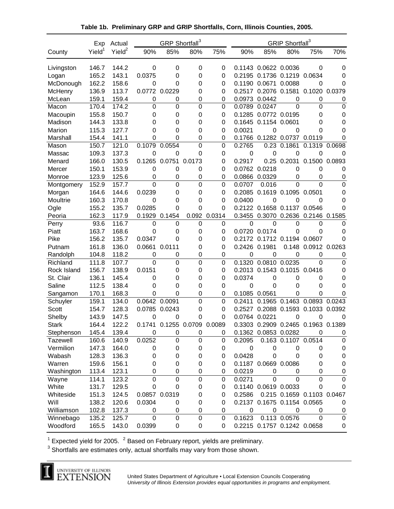|             | Exp                | Actual             |               | GRP Shortfall <sup>3</sup> |                      |             | GRIP Shortfall <sup>3</sup> |                      |                             |                                    |                  |
|-------------|--------------------|--------------------|---------------|----------------------------|----------------------|-------------|-----------------------------|----------------------|-----------------------------|------------------------------------|------------------|
| County      | Yield <sup>1</sup> | Yield <sup>2</sup> | 90%           | 85%                        | 80%                  | 75%         | 90%                         | 85%                  | 80%                         | 75%                                | 70%              |
| Livingston  | 146.7              | 144.2              | 0             | 0                          | $\mathbf 0$          | 0           |                             | 0.1143 0.0622 0.0036 |                             | $\mathbf 0$                        | 0                |
| Logan       | 165.2              | 143.1              | 0.0375        | 0                          | 0                    | $\mathbf 0$ | 0.2195                      | 0.1736 0.1219        |                             | 0.0634                             | $\mathbf 0$      |
| McDonough   | 162.2              | 158.6              | 0             | 0                          | 0                    | 0           |                             | 0.1190 0.0671 0.0088 |                             | 0                                  | $\mathbf 0$      |
| McHenry     | 136.9              | 113.7              | 0.0772 0.0229 |                            | 0                    | 0           |                             | 0.2517 0.2076 0.1581 |                             | 0.1020 0.0379                      |                  |
| McLean      | 159.1              | 159.4              | 0             | 0                          | 0                    | 0           | 0.0973                      | 0.0442               | 0                           | 0                                  | 0                |
| Macon       | 170.4              | 174.2              | 0             | 0                          | 0                    | 0           | 0.0789                      | 0.0247               | $\Omega$                    | 0                                  | 0                |
| Macoupin    | 155.8              | 150.7              | 0             | 0                          | $\mathbf 0$          | $\mathbf 0$ | 0.1285                      | 0.0772 0.0195        |                             | 0                                  | 0                |
| Madison     | 144.3              | 133.8              | 0             | 0                          | 0                    | 0           | 0.1645                      | 0.1154 0.0601        |                             | 0                                  | 0                |
| Marion      | 115.3              | 127.7              | 0             | 0                          | 0                    | 0           | 0.0021                      | 0                    | 0                           | 0                                  | 0                |
| Marshall    | 154.4              | 141.1              | 0             | 0                          | 0                    | 0           |                             |                      | 0.1766 0.1282 0.0737 0.0119 |                                    | 0                |
| Mason       | 150.7              | 121.0              | 0.1079        | 0.0554                     | $\mathbf 0$          | $\mathbf 0$ | 0.2765                      | 0.23                 | 0.1861                      | 0.1319                             | 0.0698           |
| Massac      | 109.3              | 137.3              | $\mathbf 0$   | $\mathbf 0$                | 0                    | 0           | 0                           | 0                    | 0                           | $\mathbf 0$                        | $\mathbf 0$      |
| Menard      | 166.0              | 130.5              | 0.1265        | 0.0751                     | 0.0173               | $\mathbf 0$ | 0.2917                      |                      | 0.25 0.2031                 | 0.1500                             | 0.0893           |
| Mercer      | 150.1              | 153.9              | 0             | $\boldsymbol{0}$           | 0                    | 0           | 0.0762                      | 0.0218               | 0                           | 0                                  | 0                |
| Monroe      | 123.9              | 125.6              | 0             | 0                          | 0                    | 0           | 0.0866                      | 0.0329               | 0                           | 0                                  | 0                |
| Montgomery  | 152.9              | 157.7              | 0             | 0                          | $\mathbf 0$          | $\mathbf 0$ | 0.0707                      | 0.016                | $\Omega$                    | $\mathbf 0$                        | $\mathbf 0$      |
| Morgan      | 164.6              | 144.6              | 0.0239        | 0                          | 0                    | 0           | 0.2085                      | 0.1619 0.1095        |                             | 0.0501                             | 0                |
| Moultrie    | 160.3              | 170.8              | 0             | 0                          | 0                    | 0           | 0.0400                      | 0                    | 0                           | 0                                  | 0                |
| Ogle        | 155.2              | 135.7              | 0.0285        | 0                          | 0                    | 0           |                             | 0.2122 0.1658 0.1137 |                             | 0.0546                             | 0                |
| Peoria      | 162.3              | 117.9              | 0.1929        | 0.1454                     | 0.092                | 0.0314      |                             | 0.3455 0.3070        | 0.2636                      | 0.2146 0.1585                      |                  |
| Perry       | 93.6               | 116.7              | 0             | 0                          | $\mathbf 0$          | 0           | 0                           | 0                    | $\mathbf 0$                 | 0                                  | 0                |
| Piatt       | 163.7              | 168.6              | 0             | 0                          | 0                    | 0           | 0.0720                      | 0.0174               | 0                           | 0                                  | 0                |
| Pike        | 156.2              | 135.7              | 0.0347        | 0                          | 0                    | 0           |                             | 0.2172 0.1712 0.1194 |                             | 0.0607                             | 0                |
| Putnam      | 161.8              | 136.0              | 0.0661        | 0.0111                     | 0                    | 0           | 0.2426 0.1981               |                      | 0.148                       | 0.0912 0.0263                      |                  |
| Randolph    | 104.8              | 118.2              | 0             | 0                          | $\mathbf 0$          | $\mathbf 0$ | $\mathbf 0$                 | 0                    | 0                           | 0                                  | 0                |
| Richland    | 111.8              | 107.7              | 0             | 0                          | $\mathbf 0$          | $\mathbf 0$ | 0.1320                      | 0.0810               | 0.0235                      | $\Omega$                           | $\Omega$         |
| Rock Island | 156.7              | 138.9              | 0.0151        | 0                          | 0                    | $\mathbf 0$ |                             | 0.2013 0.1543 0.1015 |                             | 0.0416                             | 0                |
| St. Clair   | 136.1              | 145.4              | $\mathbf 0$   | 0                          | 0                    | 0           | 0.0374                      | 0                    | $\mathbf 0$                 | $\mathbf 0$                        | $\mathbf 0$      |
| Saline      | 112.5              | 138.4              | 0             | 0                          | 0                    | 0           | 0                           | $\mathbf 0$          | 0                           | 0                                  | 0                |
| Sangamon    | 170.1              | 168.3              | 0             | 0                          | $\mathbf 0$          | $\mathbf 0$ | 0.1085                      | 0.0561               | 0                           | 0                                  | 0                |
| Schuyler    | 159.1              | 134.0              | 0.0642        | 0.0091                     | $\mathbf 0$          | 0           | 0.2411                      |                      | 0.1965 0.1463               | 0.0893                             | 0.0243           |
| Scott       | 154.7              | 128.3              | 0.0785        | 0.0243                     | 0                    | 0           | 0.2527                      |                      | 0.2088 0.1593               | 0.1033 0.0392                      |                  |
| Shelby      | 143.9              | 147.5              | $\mathbf 0$   | 0                          | 0                    | $\mathbf 0$ | 0.0764 0.0221               |                      | 0                           | 0                                  | 0                |
| Stark       | 164.4              | 122.2              | 0.1741        |                            | 0.1255 0.0709 0.0089 |             |                             |                      |                             | 0.3303 0.2909 0.2465 0.1963 0.1389 |                  |
| Stephenson  | 145.4              | 139.4              | 0             | 0                          | 0                    | 0           |                             | 0.1362 0.0853 0.0282 |                             | 0                                  | 0                |
| Tazewell    | 160.6              | 140.9              | 0.0252        | 0                          | 0                    | 0           | 0.2095                      |                      | 0.163 0.1107 0.0514         |                                    | $\pmb{0}$        |
| Vermilion   | 147.3              | 164.0              | 0             | 0                          | 0                    | 0           | 0                           | 0                    | 0                           | 0                                  | $\mathbf 0$      |
| Wabash      | 128.3              | 136.3              | 0             | 0                          | 0                    | 0           | 0.0428                      | 0                    | $\mathbf 0$                 | 0                                  | $\mathbf 0$      |
| Warren      | 159.6              | 156.1              | 0             | 0                          | 0                    | $\mathbf 0$ |                             | 0.1187 0.0669 0.0086 |                             | 0                                  | $\mathbf 0$      |
| Washington  | 113.4              | 123.1              | 0             | 0                          | 0                    | 0           | 0.0219                      | 0                    | 0                           | 0                                  | 0                |
| Wayne       | 114.1              | 123.2              | 0             | 0                          | $\mathbf 0$          | 0           | 0.0271                      | $\Omega$             | $\overline{0}$              | 0                                  | $\boldsymbol{0}$ |
| White       | 131.7              | 129.5              | 0             | 0                          | 0                    | 0           |                             | 0.1140 0.0619 0.0033 |                             | 0                                  | 0                |
| Whiteside   | 151.3              | 124.5              | 0.0857 0.0319 |                            | 0                    | 0           | 0.2586                      |                      |                             | 0.215 0.1659 0.1103 0.0467         |                  |
| Will        | 138.2              | 120.6              | 0.0304        | 0                          | 0                    | 0           |                             |                      | 0.2137 0.1675 0.1154 0.0565 |                                    | 0                |
| Williamson  | 102.8              | 137.3              | 0             | 0                          | 0                    | 0           | 0                           | $\boldsymbol{0}$     | 0                           | 0                                  | $\boldsymbol{0}$ |
| Winnebago   | 135.2              | 125.7              | $\mathbf 0$   | $\boldsymbol{0}$           | $\mathbf 0$          | 0           | 0.1623                      |                      | 0.113 0.0576                | $\mathbf 0$                        | $\boldsymbol{0}$ |
| Woodford    | 165.5              | 143.0              | 0.0399        | 0                          | 0                    | 0           |                             |                      | 0.2215 0.1757 0.1242 0.0658 |                                    | 0                |

**Table 1b. Preliminary GRP and GRIP Shortfalls, Corn, Illinois Counties, 2005.**

<sup>1</sup> Expected yield for 2005.  $2$  Based on February report, yields are preliminary.

 $3$  Shortfalls are estimates only, actual shortfalls may vary from those shown.

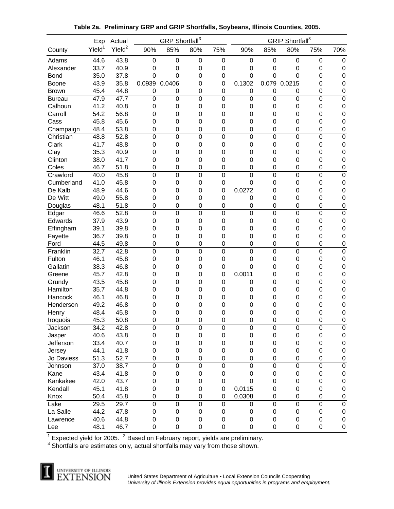| Yield <sup>1</sup><br>Yield <sup>2</sup><br>90%<br>85%<br>75%<br>90%<br>85%<br>80%<br>70%<br>80%<br>75%<br>County<br>44.6<br>43.8<br>Adams<br>$\boldsymbol{0}$<br>$\mathbf 0$<br>$\mathbf 0$<br>$\mathbf 0$<br>0<br>$\boldsymbol{0}$<br>$\boldsymbol{0}$<br>0<br>$\mathbf 0$<br>33.7<br>40.9<br>Alexander<br>0<br>0<br>$\mathbf 0$<br>$\mathbf 0$<br>0<br>0<br>$\mathbf 0$<br>$\mathbf 0$<br>$\mathbf 0$<br>35.0<br>37.8<br>0<br>0<br>$\mathbf 0$<br>$\Omega$<br>0<br>0<br>$\mathbf 0$<br>0<br>0<br><b>Bond</b><br>0.079<br>35.8<br>0.0939<br>0.1302<br>43.9<br>0.0406<br>0<br>0<br>0.0215<br>0<br>$\mathbf 0$<br>Boone<br>45.4<br>44.8<br>$\mathbf 0$<br>$\mathbf 0$<br>$\mathbf 0$<br>0<br>$\mathbf 0$<br><b>Brown</b><br>0<br>0<br>0<br>0<br>$\mathbf 0$<br>$\mathbf 0$<br>$\boldsymbol{0}$<br>47.9<br>47.7<br>$\mathbf 0$<br>$\mathbf 0$<br>$\mathbf 0$<br>$\mathbf 0$<br>$\mathbf 0$<br>$\boldsymbol{0}$<br><b>Bureau</b><br>41.2<br>40.8<br>Calhoun<br>0<br>$\mathbf 0$<br>0<br>0<br>$\mathbf 0$<br>$\mathbf 0$<br>0<br>$\mathbf 0$<br>0<br>Carroll<br>54.2<br>56.8<br>$\mathbf 0$<br>0<br>0<br>$\mathbf 0$<br>0<br>0<br>0<br>$\mathbf 0$<br>$\mathbf 0$<br>45.8<br>45.6<br>$\mathbf 0$<br>0<br>0<br>0<br>0<br>0<br>0<br>Cass<br>$\mathbf 0$<br>0<br>48.4<br>53.8<br>0<br>0<br>0<br>0<br>0<br>0<br>0<br>$\mathbf 0$<br>Champaign<br>$\mathbf 0$<br>$\mathbf 0$<br>$\mathbf 0$<br>48.8<br>52.8<br>$\mathbf 0$<br>$\mathbf 0$<br>$\mathbf 0$<br>$\mathbf 0$<br>$\mathbf 0$<br>$\mathbf 0$<br>0<br>Christian<br>Clark<br>41.7<br>48.8<br>0<br>$\mathbf 0$<br>$\mathbf 0$<br>0<br>0<br>0<br>0<br>$\mathbf 0$<br>$\mathbf 0$<br>$\mathbf 0$<br>Clay<br>35.3<br>40.9<br>0<br>0<br>$\mathbf 0$<br>$\mathbf 0$<br>0<br>0<br>0<br>0<br>Clinton<br>38.0<br>41.7<br>$\mathbf 0$<br>0<br>0<br>$\mathbf 0$<br>0<br>0<br>0<br>0<br>$\mathbf 0$<br>46.7<br>$\mathbf 0$<br>$\boldsymbol{0}$<br>Coles<br>51.8<br>$\boldsymbol{0}$<br>0<br>$\mathbf 0$<br>$\mathbf 0$<br>0<br>0<br>0<br>Crawford<br>$\mathbf 0$<br>$\mathbf 0$<br>$\boldsymbol{0}$<br>$\mathbf 0$<br>$\boldsymbol{0}$<br>$\pmb{0}$<br>40.0<br>45.8<br>$\pmb{0}$<br>0<br>0<br>Cumberland<br>41.0<br>45.8<br>$\mathbf 0$<br>$\boldsymbol{0}$<br>$\boldsymbol{0}$<br>0<br>$\mathbf 0$<br>$\boldsymbol{0}$<br>0<br>$\mathbf 0$<br>0<br>De Kalb<br>48.9<br>0.0272<br>$\mathbf 0$<br>44.6<br>$\boldsymbol{0}$<br>0<br>$\mathbf 0$<br>$\mathbf 0$<br>0<br>$\mathbf 0$<br>0<br>De Witt<br>49.0<br>55.8<br>0<br>0<br>$\mathbf 0$<br>$\mathbf 0$<br>0<br>0<br>$\mathbf 0$<br>$\mathbf 0$<br>0<br>48.1<br>51.8<br>$\mathbf 0$<br>$\pmb{0}$<br>$\mathbf 0$<br>Douglas<br>$\pmb{0}$<br>0<br>0<br>0<br>0<br>$\mathbf 0$<br>46.6<br>52.8<br>$\mathbf 0$<br>$\mathsf 0$<br>$\mathbf 0$<br>$\mathbf 0$<br>$\mathbf 0$<br>$\mathbf 0$<br>$\mathbf 0$<br>0<br>$\boldsymbol{0}$<br>Edgar<br>43.9<br>$\mathbf 0$<br>Edwards<br>37.9<br>$\pmb{0}$<br>$\mathbf 0$<br>$\mathbf 0$<br>0<br>0<br>$\mathbf 0$<br>0<br>$\mathbf 0$<br>39.8<br>Effingham<br>39.1<br>$\mathbf 0$<br>0<br>$\mathbf 0$<br>$\mathbf 0$<br>0<br>0<br>$\mathbf 0$<br>0<br>$\mathbf 0$<br>39.8<br>Fayette<br>36.7<br>0<br>$\mathbf 0$<br>$\mathbf 0$<br>0<br>0<br>$\mathbf 0$<br>$\mathbf 0$<br>0<br>0<br>$\mathsf 0$<br>0<br>$\mathbf 0$<br>$\mathbf 0$<br>$\mathbf 0$<br>$\mathbf 0$<br>$\mathbf 0$<br>0<br>44.5<br>49.8<br>$\boldsymbol{0}$<br>Ford<br>$\mathbf 0$<br>$\mathbf 0$<br>Franklin<br>32.7<br>42.8<br>$\pmb{0}$<br>$\mathbf 0$<br>$\mathbf 0$<br>$\mathbf 0$<br>$\mathbf 0$<br>0<br>$\boldsymbol{0}$<br>46.1<br>$\mathbf 0$<br>Fulton<br>45.8<br>$\mathbf 0$<br>0<br>$\mathbf 0$<br>0<br>0<br>$\mathbf 0$<br>0<br>0<br>0<br>Gallatin<br>38.3<br>46.8<br>0<br>0<br>0<br>$\mathbf 0$<br>0<br>0<br>0<br>$\mathbf 0$<br>45.7<br>0.0011<br>42.8<br>$\mathbf 0$<br>0<br>$\mathbf 0$<br>$\mathbf 0$<br>0<br>0<br>0<br>$\mathbf 0$<br>Greene<br>43.5<br>0<br>45.8<br>$\pmb{0}$<br>0<br>$\mathbf 0$<br>$\mathbf 0$<br>0<br>0<br>0<br>Grundy<br>0<br>Hamilton<br>35.7<br>44.8<br>$\mathbf 0$<br>0<br>$\mathbf 0$<br>$\mathbf 0$<br>0<br>0<br>0<br>0<br>$\mathbf 0$<br>46.1<br>46.8<br>Hancock<br>$\mathbf 0$<br>0<br>$\mathbf 0$<br>$\mathbf 0$<br>0<br>0<br>0<br>0<br>0<br>49.2<br>46.8<br>Henderson<br>0<br>0<br>0<br>0<br>0<br>0<br>0<br>0<br>0<br>48.4<br>45.8<br>0<br>0<br>0<br>0<br>0<br>0<br>Henry<br>0<br>0<br>0<br>50.8<br>0<br>0<br>45.3<br>0<br>0<br>$\Omega$<br>0<br>0<br>0<br>$\mathbf 0$<br>Iroquois<br>34.2<br>42.8<br>Jackson<br>$\pmb{0}$<br>$\boldsymbol{0}$<br>$\boldsymbol{0}$<br>$\pmb{0}$<br>0<br>0<br>0<br>0<br>0<br>40.6<br>43.8<br>$\pmb{0}$<br>$\mathsf 0$<br>$\mathbf 0$<br>$\pmb{0}$<br>0<br>$\mathsf 0$<br>$\pmb{0}$<br>0<br>$\mathbf 0$<br>Jasper<br>33.4<br>40.7<br>$\pmb{0}$<br>$\mathbf 0$<br>$\pmb{0}$<br>0<br>$\pmb{0}$<br>Jefferson<br>0<br>0<br>0<br>$\mathbf 0$<br>44.1<br>$\pmb{0}$<br>0<br>41.8<br>$\pmb{0}$<br>$\mathbf 0$<br>$\boldsymbol{0}$<br>0<br>0<br>0<br>$\mathbf 0$<br>Jersey<br>51.3<br>52.7<br>Jo Daviess<br>$\pmb{0}$<br>$\pmb{0}$<br>$\boldsymbol{0}$<br>0<br>0<br>0<br>$\boldsymbol{0}$<br>0<br>$\pmb{0}$<br>$\mathbf 0$<br>$\mathbf 0$<br>$\boldsymbol{0}$<br>$\mathbf 0$<br>$\mathbf 0$<br>0<br>$\pmb{0}$<br>Johnson<br>37.0<br>38.7<br>$\mathbf 0$<br>0<br>43.4<br>Kane<br>41.8<br>$\pmb{0}$<br>$\pmb{0}$<br>$\boldsymbol{0}$<br>$\boldsymbol{0}$<br>0<br>0<br>$\pmb{0}$<br>0<br>$\pmb{0}$<br>42.0<br>43.7<br>$\mathbf 0$<br>Kankakee<br>$\pmb{0}$<br>$\pmb{0}$<br>$\mathbf 0$<br>$\mathbf 0$<br>0<br>0<br>0<br>$\pmb{0}$<br>45.1<br>41.8<br>$\pmb{0}$<br>Kendall<br>$\boldsymbol{0}$<br>$\boldsymbol{0}$<br>0<br>0.0115<br>0<br>$\pmb{0}$<br>0<br>0<br>50.4<br>45.8<br>$\boldsymbol{0}$<br>0<br>0.0308<br>$\pmb{0}$<br>0<br>$\pmb{0}$<br>Knox<br>0<br>0<br>0<br>$\pmb{0}$<br>Lake<br>29.5<br>29.7<br>$\mathbf 0$<br>$\mathbf 0$<br>$\mathbf 0$<br>$\pmb{0}$<br>$\mathbf 0$<br>0<br>0<br>0<br>La Salle<br>44.2<br>47.8<br>$\boldsymbol{0}$<br>0<br>0<br>$\pmb{0}$<br>$\pmb{0}$<br>0<br>$\pmb{0}$<br>0<br>0<br>40.6<br>44.8<br>0<br>$\boldsymbol{0}$<br>0<br>0<br>$\pmb{0}$<br>0<br>$\pmb{0}$<br>0<br>$\pmb{0}$<br>Lawrence<br>$\pmb{0}$<br>46.7<br>$\pmb{0}$<br>$\pmb{0}$<br>$\pmb{0}$<br>$\mathbf 0$<br>0<br>0<br>$\pmb{0}$<br>$\pmb{0}$<br>48.1<br>Lee | Exp | Actual | GRP Shortfall <sup>3</sup> |  | GRIP Shortfall <sup>3</sup> |  |  |  |  |
|------------------------------------------------------------------------------------------------------------------------------------------------------------------------------------------------------------------------------------------------------------------------------------------------------------------------------------------------------------------------------------------------------------------------------------------------------------------------------------------------------------------------------------------------------------------------------------------------------------------------------------------------------------------------------------------------------------------------------------------------------------------------------------------------------------------------------------------------------------------------------------------------------------------------------------------------------------------------------------------------------------------------------------------------------------------------------------------------------------------------------------------------------------------------------------------------------------------------------------------------------------------------------------------------------------------------------------------------------------------------------------------------------------------------------------------------------------------------------------------------------------------------------------------------------------------------------------------------------------------------------------------------------------------------------------------------------------------------------------------------------------------------------------------------------------------------------------------------------------------------------------------------------------------------------------------------------------------------------------------------------------------------------------------------------------------------------------------------------------------------------------------------------------------------------------------------------------------------------------------------------------------------------------------------------------------------------------------------------------------------------------------------------------------------------------------------------------------------------------------------------------------------------------------------------------------------------------------------------------------------------------------------------------------------------------------------------------------------------------------------------------------------------------------------------------------------------------------------------------------------------------------------------------------------------------------------------------------------------------------------------------------------------------------------------------------------------------------------------------------------------------------------------------------------------------------------------------------------------------------------------------------------------------------------------------------------------------------------------------------------------------------------------------------------------------------------------------------------------------------------------------------------------------------------------------------------------------------------------------------------------------------------------------------------------------------------------------------------------------------------------------------------------------------------------------------------------------------------------------------------------------------------------------------------------------------------------------------------------------------------------------------------------------------------------------------------------------------------------------------------------------------------------------------------------------------------------------------------------------------------------------------------------------------------------------------------------------------------------------------------------------------------------------------------------------------------------------------------------------------------------------------------------------------------------------------------------------------------------------------------------------------------------------------------------------------------------------------------------------------------------------------------------------------------------------------------------------------------------------------------------------------------------------------------------------------------------------------------------------------------------------------------------------------------------------------------------------------------------------------------------------------------------------------------------------------------------------------------------------------------------------------------------------------------------------------------------------------------------------------------------------------------------------------------------------------------------------------------------------------------------------------------------------------------------------------------------------------------------------------------------------------------------------------------------------------------------------------------------------------------------------------------------------------------------------------------------------------------------------------------------------------------------------------------------------------------------------------------------------------------------------------------------------------------------------------------------------------------------------------------------------------------------------------------------------------------------------------------|-----|--------|----------------------------|--|-----------------------------|--|--|--|--|
|                                                                                                                                                                                                                                                                                                                                                                                                                                                                                                                                                                                                                                                                                                                                                                                                                                                                                                                                                                                                                                                                                                                                                                                                                                                                                                                                                                                                                                                                                                                                                                                                                                                                                                                                                                                                                                                                                                                                                                                                                                                                                                                                                                                                                                                                                                                                                                                                                                                                                                                                                                                                                                                                                                                                                                                                                                                                                                                                                                                                                                                                                                                                                                                                                                                                                                                                                                                                                                                                                                                                                                                                                                                                                                                                                                                                                                                                                                                                                                                                                                                                                                                                                                                                                                                                                                                                                                                                                                                                                                                                                                                                                                                                                                                                                                                                                                                                                                                                                                                                                                                                                                                                                                                                                                                                                                                                                                                                                                                                                                                                                                                                                                                                                                                                                                                                                                                                                                                                                                                                                                                                                                                                                                                                                        |     |        |                            |  |                             |  |  |  |  |
|                                                                                                                                                                                                                                                                                                                                                                                                                                                                                                                                                                                                                                                                                                                                                                                                                                                                                                                                                                                                                                                                                                                                                                                                                                                                                                                                                                                                                                                                                                                                                                                                                                                                                                                                                                                                                                                                                                                                                                                                                                                                                                                                                                                                                                                                                                                                                                                                                                                                                                                                                                                                                                                                                                                                                                                                                                                                                                                                                                                                                                                                                                                                                                                                                                                                                                                                                                                                                                                                                                                                                                                                                                                                                                                                                                                                                                                                                                                                                                                                                                                                                                                                                                                                                                                                                                                                                                                                                                                                                                                                                                                                                                                                                                                                                                                                                                                                                                                                                                                                                                                                                                                                                                                                                                                                                                                                                                                                                                                                                                                                                                                                                                                                                                                                                                                                                                                                                                                                                                                                                                                                                                                                                                                                                        |     |        |                            |  |                             |  |  |  |  |
|                                                                                                                                                                                                                                                                                                                                                                                                                                                                                                                                                                                                                                                                                                                                                                                                                                                                                                                                                                                                                                                                                                                                                                                                                                                                                                                                                                                                                                                                                                                                                                                                                                                                                                                                                                                                                                                                                                                                                                                                                                                                                                                                                                                                                                                                                                                                                                                                                                                                                                                                                                                                                                                                                                                                                                                                                                                                                                                                                                                                                                                                                                                                                                                                                                                                                                                                                                                                                                                                                                                                                                                                                                                                                                                                                                                                                                                                                                                                                                                                                                                                                                                                                                                                                                                                                                                                                                                                                                                                                                                                                                                                                                                                                                                                                                                                                                                                                                                                                                                                                                                                                                                                                                                                                                                                                                                                                                                                                                                                                                                                                                                                                                                                                                                                                                                                                                                                                                                                                                                                                                                                                                                                                                                                                        |     |        |                            |  |                             |  |  |  |  |
|                                                                                                                                                                                                                                                                                                                                                                                                                                                                                                                                                                                                                                                                                                                                                                                                                                                                                                                                                                                                                                                                                                                                                                                                                                                                                                                                                                                                                                                                                                                                                                                                                                                                                                                                                                                                                                                                                                                                                                                                                                                                                                                                                                                                                                                                                                                                                                                                                                                                                                                                                                                                                                                                                                                                                                                                                                                                                                                                                                                                                                                                                                                                                                                                                                                                                                                                                                                                                                                                                                                                                                                                                                                                                                                                                                                                                                                                                                                                                                                                                                                                                                                                                                                                                                                                                                                                                                                                                                                                                                                                                                                                                                                                                                                                                                                                                                                                                                                                                                                                                                                                                                                                                                                                                                                                                                                                                                                                                                                                                                                                                                                                                                                                                                                                                                                                                                                                                                                                                                                                                                                                                                                                                                                                                        |     |        |                            |  |                             |  |  |  |  |
|                                                                                                                                                                                                                                                                                                                                                                                                                                                                                                                                                                                                                                                                                                                                                                                                                                                                                                                                                                                                                                                                                                                                                                                                                                                                                                                                                                                                                                                                                                                                                                                                                                                                                                                                                                                                                                                                                                                                                                                                                                                                                                                                                                                                                                                                                                                                                                                                                                                                                                                                                                                                                                                                                                                                                                                                                                                                                                                                                                                                                                                                                                                                                                                                                                                                                                                                                                                                                                                                                                                                                                                                                                                                                                                                                                                                                                                                                                                                                                                                                                                                                                                                                                                                                                                                                                                                                                                                                                                                                                                                                                                                                                                                                                                                                                                                                                                                                                                                                                                                                                                                                                                                                                                                                                                                                                                                                                                                                                                                                                                                                                                                                                                                                                                                                                                                                                                                                                                                                                                                                                                                                                                                                                                                                        |     |        |                            |  |                             |  |  |  |  |
|                                                                                                                                                                                                                                                                                                                                                                                                                                                                                                                                                                                                                                                                                                                                                                                                                                                                                                                                                                                                                                                                                                                                                                                                                                                                                                                                                                                                                                                                                                                                                                                                                                                                                                                                                                                                                                                                                                                                                                                                                                                                                                                                                                                                                                                                                                                                                                                                                                                                                                                                                                                                                                                                                                                                                                                                                                                                                                                                                                                                                                                                                                                                                                                                                                                                                                                                                                                                                                                                                                                                                                                                                                                                                                                                                                                                                                                                                                                                                                                                                                                                                                                                                                                                                                                                                                                                                                                                                                                                                                                                                                                                                                                                                                                                                                                                                                                                                                                                                                                                                                                                                                                                                                                                                                                                                                                                                                                                                                                                                                                                                                                                                                                                                                                                                                                                                                                                                                                                                                                                                                                                                                                                                                                                                        |     |        |                            |  |                             |  |  |  |  |
|                                                                                                                                                                                                                                                                                                                                                                                                                                                                                                                                                                                                                                                                                                                                                                                                                                                                                                                                                                                                                                                                                                                                                                                                                                                                                                                                                                                                                                                                                                                                                                                                                                                                                                                                                                                                                                                                                                                                                                                                                                                                                                                                                                                                                                                                                                                                                                                                                                                                                                                                                                                                                                                                                                                                                                                                                                                                                                                                                                                                                                                                                                                                                                                                                                                                                                                                                                                                                                                                                                                                                                                                                                                                                                                                                                                                                                                                                                                                                                                                                                                                                                                                                                                                                                                                                                                                                                                                                                                                                                                                                                                                                                                                                                                                                                                                                                                                                                                                                                                                                                                                                                                                                                                                                                                                                                                                                                                                                                                                                                                                                                                                                                                                                                                                                                                                                                                                                                                                                                                                                                                                                                                                                                                                                        |     |        |                            |  |                             |  |  |  |  |
|                                                                                                                                                                                                                                                                                                                                                                                                                                                                                                                                                                                                                                                                                                                                                                                                                                                                                                                                                                                                                                                                                                                                                                                                                                                                                                                                                                                                                                                                                                                                                                                                                                                                                                                                                                                                                                                                                                                                                                                                                                                                                                                                                                                                                                                                                                                                                                                                                                                                                                                                                                                                                                                                                                                                                                                                                                                                                                                                                                                                                                                                                                                                                                                                                                                                                                                                                                                                                                                                                                                                                                                                                                                                                                                                                                                                                                                                                                                                                                                                                                                                                                                                                                                                                                                                                                                                                                                                                                                                                                                                                                                                                                                                                                                                                                                                                                                                                                                                                                                                                                                                                                                                                                                                                                                                                                                                                                                                                                                                                                                                                                                                                                                                                                                                                                                                                                                                                                                                                                                                                                                                                                                                                                                                                        |     |        |                            |  |                             |  |  |  |  |
|                                                                                                                                                                                                                                                                                                                                                                                                                                                                                                                                                                                                                                                                                                                                                                                                                                                                                                                                                                                                                                                                                                                                                                                                                                                                                                                                                                                                                                                                                                                                                                                                                                                                                                                                                                                                                                                                                                                                                                                                                                                                                                                                                                                                                                                                                                                                                                                                                                                                                                                                                                                                                                                                                                                                                                                                                                                                                                                                                                                                                                                                                                                                                                                                                                                                                                                                                                                                                                                                                                                                                                                                                                                                                                                                                                                                                                                                                                                                                                                                                                                                                                                                                                                                                                                                                                                                                                                                                                                                                                                                                                                                                                                                                                                                                                                                                                                                                                                                                                                                                                                                                                                                                                                                                                                                                                                                                                                                                                                                                                                                                                                                                                                                                                                                                                                                                                                                                                                                                                                                                                                                                                                                                                                                                        |     |        |                            |  |                             |  |  |  |  |
|                                                                                                                                                                                                                                                                                                                                                                                                                                                                                                                                                                                                                                                                                                                                                                                                                                                                                                                                                                                                                                                                                                                                                                                                                                                                                                                                                                                                                                                                                                                                                                                                                                                                                                                                                                                                                                                                                                                                                                                                                                                                                                                                                                                                                                                                                                                                                                                                                                                                                                                                                                                                                                                                                                                                                                                                                                                                                                                                                                                                                                                                                                                                                                                                                                                                                                                                                                                                                                                                                                                                                                                                                                                                                                                                                                                                                                                                                                                                                                                                                                                                                                                                                                                                                                                                                                                                                                                                                                                                                                                                                                                                                                                                                                                                                                                                                                                                                                                                                                                                                                                                                                                                                                                                                                                                                                                                                                                                                                                                                                                                                                                                                                                                                                                                                                                                                                                                                                                                                                                                                                                                                                                                                                                                                        |     |        |                            |  |                             |  |  |  |  |
|                                                                                                                                                                                                                                                                                                                                                                                                                                                                                                                                                                                                                                                                                                                                                                                                                                                                                                                                                                                                                                                                                                                                                                                                                                                                                                                                                                                                                                                                                                                                                                                                                                                                                                                                                                                                                                                                                                                                                                                                                                                                                                                                                                                                                                                                                                                                                                                                                                                                                                                                                                                                                                                                                                                                                                                                                                                                                                                                                                                                                                                                                                                                                                                                                                                                                                                                                                                                                                                                                                                                                                                                                                                                                                                                                                                                                                                                                                                                                                                                                                                                                                                                                                                                                                                                                                                                                                                                                                                                                                                                                                                                                                                                                                                                                                                                                                                                                                                                                                                                                                                                                                                                                                                                                                                                                                                                                                                                                                                                                                                                                                                                                                                                                                                                                                                                                                                                                                                                                                                                                                                                                                                                                                                                                        |     |        |                            |  |                             |  |  |  |  |
|                                                                                                                                                                                                                                                                                                                                                                                                                                                                                                                                                                                                                                                                                                                                                                                                                                                                                                                                                                                                                                                                                                                                                                                                                                                                                                                                                                                                                                                                                                                                                                                                                                                                                                                                                                                                                                                                                                                                                                                                                                                                                                                                                                                                                                                                                                                                                                                                                                                                                                                                                                                                                                                                                                                                                                                                                                                                                                                                                                                                                                                                                                                                                                                                                                                                                                                                                                                                                                                                                                                                                                                                                                                                                                                                                                                                                                                                                                                                                                                                                                                                                                                                                                                                                                                                                                                                                                                                                                                                                                                                                                                                                                                                                                                                                                                                                                                                                                                                                                                                                                                                                                                                                                                                                                                                                                                                                                                                                                                                                                                                                                                                                                                                                                                                                                                                                                                                                                                                                                                                                                                                                                                                                                                                                        |     |        |                            |  |                             |  |  |  |  |
|                                                                                                                                                                                                                                                                                                                                                                                                                                                                                                                                                                                                                                                                                                                                                                                                                                                                                                                                                                                                                                                                                                                                                                                                                                                                                                                                                                                                                                                                                                                                                                                                                                                                                                                                                                                                                                                                                                                                                                                                                                                                                                                                                                                                                                                                                                                                                                                                                                                                                                                                                                                                                                                                                                                                                                                                                                                                                                                                                                                                                                                                                                                                                                                                                                                                                                                                                                                                                                                                                                                                                                                                                                                                                                                                                                                                                                                                                                                                                                                                                                                                                                                                                                                                                                                                                                                                                                                                                                                                                                                                                                                                                                                                                                                                                                                                                                                                                                                                                                                                                                                                                                                                                                                                                                                                                                                                                                                                                                                                                                                                                                                                                                                                                                                                                                                                                                                                                                                                                                                                                                                                                                                                                                                                                        |     |        |                            |  |                             |  |  |  |  |
|                                                                                                                                                                                                                                                                                                                                                                                                                                                                                                                                                                                                                                                                                                                                                                                                                                                                                                                                                                                                                                                                                                                                                                                                                                                                                                                                                                                                                                                                                                                                                                                                                                                                                                                                                                                                                                                                                                                                                                                                                                                                                                                                                                                                                                                                                                                                                                                                                                                                                                                                                                                                                                                                                                                                                                                                                                                                                                                                                                                                                                                                                                                                                                                                                                                                                                                                                                                                                                                                                                                                                                                                                                                                                                                                                                                                                                                                                                                                                                                                                                                                                                                                                                                                                                                                                                                                                                                                                                                                                                                                                                                                                                                                                                                                                                                                                                                                                                                                                                                                                                                                                                                                                                                                                                                                                                                                                                                                                                                                                                                                                                                                                                                                                                                                                                                                                                                                                                                                                                                                                                                                                                                                                                                                                        |     |        |                            |  |                             |  |  |  |  |
|                                                                                                                                                                                                                                                                                                                                                                                                                                                                                                                                                                                                                                                                                                                                                                                                                                                                                                                                                                                                                                                                                                                                                                                                                                                                                                                                                                                                                                                                                                                                                                                                                                                                                                                                                                                                                                                                                                                                                                                                                                                                                                                                                                                                                                                                                                                                                                                                                                                                                                                                                                                                                                                                                                                                                                                                                                                                                                                                                                                                                                                                                                                                                                                                                                                                                                                                                                                                                                                                                                                                                                                                                                                                                                                                                                                                                                                                                                                                                                                                                                                                                                                                                                                                                                                                                                                                                                                                                                                                                                                                                                                                                                                                                                                                                                                                                                                                                                                                                                                                                                                                                                                                                                                                                                                                                                                                                                                                                                                                                                                                                                                                                                                                                                                                                                                                                                                                                                                                                                                                                                                                                                                                                                                                                        |     |        |                            |  |                             |  |  |  |  |
|                                                                                                                                                                                                                                                                                                                                                                                                                                                                                                                                                                                                                                                                                                                                                                                                                                                                                                                                                                                                                                                                                                                                                                                                                                                                                                                                                                                                                                                                                                                                                                                                                                                                                                                                                                                                                                                                                                                                                                                                                                                                                                                                                                                                                                                                                                                                                                                                                                                                                                                                                                                                                                                                                                                                                                                                                                                                                                                                                                                                                                                                                                                                                                                                                                                                                                                                                                                                                                                                                                                                                                                                                                                                                                                                                                                                                                                                                                                                                                                                                                                                                                                                                                                                                                                                                                                                                                                                                                                                                                                                                                                                                                                                                                                                                                                                                                                                                                                                                                                                                                                                                                                                                                                                                                                                                                                                                                                                                                                                                                                                                                                                                                                                                                                                                                                                                                                                                                                                                                                                                                                                                                                                                                                                                        |     |        |                            |  |                             |  |  |  |  |
|                                                                                                                                                                                                                                                                                                                                                                                                                                                                                                                                                                                                                                                                                                                                                                                                                                                                                                                                                                                                                                                                                                                                                                                                                                                                                                                                                                                                                                                                                                                                                                                                                                                                                                                                                                                                                                                                                                                                                                                                                                                                                                                                                                                                                                                                                                                                                                                                                                                                                                                                                                                                                                                                                                                                                                                                                                                                                                                                                                                                                                                                                                                                                                                                                                                                                                                                                                                                                                                                                                                                                                                                                                                                                                                                                                                                                                                                                                                                                                                                                                                                                                                                                                                                                                                                                                                                                                                                                                                                                                                                                                                                                                                                                                                                                                                                                                                                                                                                                                                                                                                                                                                                                                                                                                                                                                                                                                                                                                                                                                                                                                                                                                                                                                                                                                                                                                                                                                                                                                                                                                                                                                                                                                                                                        |     |        |                            |  |                             |  |  |  |  |
|                                                                                                                                                                                                                                                                                                                                                                                                                                                                                                                                                                                                                                                                                                                                                                                                                                                                                                                                                                                                                                                                                                                                                                                                                                                                                                                                                                                                                                                                                                                                                                                                                                                                                                                                                                                                                                                                                                                                                                                                                                                                                                                                                                                                                                                                                                                                                                                                                                                                                                                                                                                                                                                                                                                                                                                                                                                                                                                                                                                                                                                                                                                                                                                                                                                                                                                                                                                                                                                                                                                                                                                                                                                                                                                                                                                                                                                                                                                                                                                                                                                                                                                                                                                                                                                                                                                                                                                                                                                                                                                                                                                                                                                                                                                                                                                                                                                                                                                                                                                                                                                                                                                                                                                                                                                                                                                                                                                                                                                                                                                                                                                                                                                                                                                                                                                                                                                                                                                                                                                                                                                                                                                                                                                                                        |     |        |                            |  |                             |  |  |  |  |
|                                                                                                                                                                                                                                                                                                                                                                                                                                                                                                                                                                                                                                                                                                                                                                                                                                                                                                                                                                                                                                                                                                                                                                                                                                                                                                                                                                                                                                                                                                                                                                                                                                                                                                                                                                                                                                                                                                                                                                                                                                                                                                                                                                                                                                                                                                                                                                                                                                                                                                                                                                                                                                                                                                                                                                                                                                                                                                                                                                                                                                                                                                                                                                                                                                                                                                                                                                                                                                                                                                                                                                                                                                                                                                                                                                                                                                                                                                                                                                                                                                                                                                                                                                                                                                                                                                                                                                                                                                                                                                                                                                                                                                                                                                                                                                                                                                                                                                                                                                                                                                                                                                                                                                                                                                                                                                                                                                                                                                                                                                                                                                                                                                                                                                                                                                                                                                                                                                                                                                                                                                                                                                                                                                                                                        |     |        |                            |  |                             |  |  |  |  |
|                                                                                                                                                                                                                                                                                                                                                                                                                                                                                                                                                                                                                                                                                                                                                                                                                                                                                                                                                                                                                                                                                                                                                                                                                                                                                                                                                                                                                                                                                                                                                                                                                                                                                                                                                                                                                                                                                                                                                                                                                                                                                                                                                                                                                                                                                                                                                                                                                                                                                                                                                                                                                                                                                                                                                                                                                                                                                                                                                                                                                                                                                                                                                                                                                                                                                                                                                                                                                                                                                                                                                                                                                                                                                                                                                                                                                                                                                                                                                                                                                                                                                                                                                                                                                                                                                                                                                                                                                                                                                                                                                                                                                                                                                                                                                                                                                                                                                                                                                                                                                                                                                                                                                                                                                                                                                                                                                                                                                                                                                                                                                                                                                                                                                                                                                                                                                                                                                                                                                                                                                                                                                                                                                                                                                        |     |        |                            |  |                             |  |  |  |  |
|                                                                                                                                                                                                                                                                                                                                                                                                                                                                                                                                                                                                                                                                                                                                                                                                                                                                                                                                                                                                                                                                                                                                                                                                                                                                                                                                                                                                                                                                                                                                                                                                                                                                                                                                                                                                                                                                                                                                                                                                                                                                                                                                                                                                                                                                                                                                                                                                                                                                                                                                                                                                                                                                                                                                                                                                                                                                                                                                                                                                                                                                                                                                                                                                                                                                                                                                                                                                                                                                                                                                                                                                                                                                                                                                                                                                                                                                                                                                                                                                                                                                                                                                                                                                                                                                                                                                                                                                                                                                                                                                                                                                                                                                                                                                                                                                                                                                                                                                                                                                                                                                                                                                                                                                                                                                                                                                                                                                                                                                                                                                                                                                                                                                                                                                                                                                                                                                                                                                                                                                                                                                                                                                                                                                                        |     |        |                            |  |                             |  |  |  |  |
|                                                                                                                                                                                                                                                                                                                                                                                                                                                                                                                                                                                                                                                                                                                                                                                                                                                                                                                                                                                                                                                                                                                                                                                                                                                                                                                                                                                                                                                                                                                                                                                                                                                                                                                                                                                                                                                                                                                                                                                                                                                                                                                                                                                                                                                                                                                                                                                                                                                                                                                                                                                                                                                                                                                                                                                                                                                                                                                                                                                                                                                                                                                                                                                                                                                                                                                                                                                                                                                                                                                                                                                                                                                                                                                                                                                                                                                                                                                                                                                                                                                                                                                                                                                                                                                                                                                                                                                                                                                                                                                                                                                                                                                                                                                                                                                                                                                                                                                                                                                                                                                                                                                                                                                                                                                                                                                                                                                                                                                                                                                                                                                                                                                                                                                                                                                                                                                                                                                                                                                                                                                                                                                                                                                                                        |     |        |                            |  |                             |  |  |  |  |
|                                                                                                                                                                                                                                                                                                                                                                                                                                                                                                                                                                                                                                                                                                                                                                                                                                                                                                                                                                                                                                                                                                                                                                                                                                                                                                                                                                                                                                                                                                                                                                                                                                                                                                                                                                                                                                                                                                                                                                                                                                                                                                                                                                                                                                                                                                                                                                                                                                                                                                                                                                                                                                                                                                                                                                                                                                                                                                                                                                                                                                                                                                                                                                                                                                                                                                                                                                                                                                                                                                                                                                                                                                                                                                                                                                                                                                                                                                                                                                                                                                                                                                                                                                                                                                                                                                                                                                                                                                                                                                                                                                                                                                                                                                                                                                                                                                                                                                                                                                                                                                                                                                                                                                                                                                                                                                                                                                                                                                                                                                                                                                                                                                                                                                                                                                                                                                                                                                                                                                                                                                                                                                                                                                                                                        |     |        |                            |  |                             |  |  |  |  |
|                                                                                                                                                                                                                                                                                                                                                                                                                                                                                                                                                                                                                                                                                                                                                                                                                                                                                                                                                                                                                                                                                                                                                                                                                                                                                                                                                                                                                                                                                                                                                                                                                                                                                                                                                                                                                                                                                                                                                                                                                                                                                                                                                                                                                                                                                                                                                                                                                                                                                                                                                                                                                                                                                                                                                                                                                                                                                                                                                                                                                                                                                                                                                                                                                                                                                                                                                                                                                                                                                                                                                                                                                                                                                                                                                                                                                                                                                                                                                                                                                                                                                                                                                                                                                                                                                                                                                                                                                                                                                                                                                                                                                                                                                                                                                                                                                                                                                                                                                                                                                                                                                                                                                                                                                                                                                                                                                                                                                                                                                                                                                                                                                                                                                                                                                                                                                                                                                                                                                                                                                                                                                                                                                                                                                        |     |        |                            |  |                             |  |  |  |  |
|                                                                                                                                                                                                                                                                                                                                                                                                                                                                                                                                                                                                                                                                                                                                                                                                                                                                                                                                                                                                                                                                                                                                                                                                                                                                                                                                                                                                                                                                                                                                                                                                                                                                                                                                                                                                                                                                                                                                                                                                                                                                                                                                                                                                                                                                                                                                                                                                                                                                                                                                                                                                                                                                                                                                                                                                                                                                                                                                                                                                                                                                                                                                                                                                                                                                                                                                                                                                                                                                                                                                                                                                                                                                                                                                                                                                                                                                                                                                                                                                                                                                                                                                                                                                                                                                                                                                                                                                                                                                                                                                                                                                                                                                                                                                                                                                                                                                                                                                                                                                                                                                                                                                                                                                                                                                                                                                                                                                                                                                                                                                                                                                                                                                                                                                                                                                                                                                                                                                                                                                                                                                                                                                                                                                                        |     |        |                            |  |                             |  |  |  |  |
|                                                                                                                                                                                                                                                                                                                                                                                                                                                                                                                                                                                                                                                                                                                                                                                                                                                                                                                                                                                                                                                                                                                                                                                                                                                                                                                                                                                                                                                                                                                                                                                                                                                                                                                                                                                                                                                                                                                                                                                                                                                                                                                                                                                                                                                                                                                                                                                                                                                                                                                                                                                                                                                                                                                                                                                                                                                                                                                                                                                                                                                                                                                                                                                                                                                                                                                                                                                                                                                                                                                                                                                                                                                                                                                                                                                                                                                                                                                                                                                                                                                                                                                                                                                                                                                                                                                                                                                                                                                                                                                                                                                                                                                                                                                                                                                                                                                                                                                                                                                                                                                                                                                                                                                                                                                                                                                                                                                                                                                                                                                                                                                                                                                                                                                                                                                                                                                                                                                                                                                                                                                                                                                                                                                                                        |     |        |                            |  |                             |  |  |  |  |
|                                                                                                                                                                                                                                                                                                                                                                                                                                                                                                                                                                                                                                                                                                                                                                                                                                                                                                                                                                                                                                                                                                                                                                                                                                                                                                                                                                                                                                                                                                                                                                                                                                                                                                                                                                                                                                                                                                                                                                                                                                                                                                                                                                                                                                                                                                                                                                                                                                                                                                                                                                                                                                                                                                                                                                                                                                                                                                                                                                                                                                                                                                                                                                                                                                                                                                                                                                                                                                                                                                                                                                                                                                                                                                                                                                                                                                                                                                                                                                                                                                                                                                                                                                                                                                                                                                                                                                                                                                                                                                                                                                                                                                                                                                                                                                                                                                                                                                                                                                                                                                                                                                                                                                                                                                                                                                                                                                                                                                                                                                                                                                                                                                                                                                                                                                                                                                                                                                                                                                                                                                                                                                                                                                                                                        |     |        |                            |  |                             |  |  |  |  |
|                                                                                                                                                                                                                                                                                                                                                                                                                                                                                                                                                                                                                                                                                                                                                                                                                                                                                                                                                                                                                                                                                                                                                                                                                                                                                                                                                                                                                                                                                                                                                                                                                                                                                                                                                                                                                                                                                                                                                                                                                                                                                                                                                                                                                                                                                                                                                                                                                                                                                                                                                                                                                                                                                                                                                                                                                                                                                                                                                                                                                                                                                                                                                                                                                                                                                                                                                                                                                                                                                                                                                                                                                                                                                                                                                                                                                                                                                                                                                                                                                                                                                                                                                                                                                                                                                                                                                                                                                                                                                                                                                                                                                                                                                                                                                                                                                                                                                                                                                                                                                                                                                                                                                                                                                                                                                                                                                                                                                                                                                                                                                                                                                                                                                                                                                                                                                                                                                                                                                                                                                                                                                                                                                                                                                        |     |        |                            |  |                             |  |  |  |  |
|                                                                                                                                                                                                                                                                                                                                                                                                                                                                                                                                                                                                                                                                                                                                                                                                                                                                                                                                                                                                                                                                                                                                                                                                                                                                                                                                                                                                                                                                                                                                                                                                                                                                                                                                                                                                                                                                                                                                                                                                                                                                                                                                                                                                                                                                                                                                                                                                                                                                                                                                                                                                                                                                                                                                                                                                                                                                                                                                                                                                                                                                                                                                                                                                                                                                                                                                                                                                                                                                                                                                                                                                                                                                                                                                                                                                                                                                                                                                                                                                                                                                                                                                                                                                                                                                                                                                                                                                                                                                                                                                                                                                                                                                                                                                                                                                                                                                                                                                                                                                                                                                                                                                                                                                                                                                                                                                                                                                                                                                                                                                                                                                                                                                                                                                                                                                                                                                                                                                                                                                                                                                                                                                                                                                                        |     |        |                            |  |                             |  |  |  |  |
|                                                                                                                                                                                                                                                                                                                                                                                                                                                                                                                                                                                                                                                                                                                                                                                                                                                                                                                                                                                                                                                                                                                                                                                                                                                                                                                                                                                                                                                                                                                                                                                                                                                                                                                                                                                                                                                                                                                                                                                                                                                                                                                                                                                                                                                                                                                                                                                                                                                                                                                                                                                                                                                                                                                                                                                                                                                                                                                                                                                                                                                                                                                                                                                                                                                                                                                                                                                                                                                                                                                                                                                                                                                                                                                                                                                                                                                                                                                                                                                                                                                                                                                                                                                                                                                                                                                                                                                                                                                                                                                                                                                                                                                                                                                                                                                                                                                                                                                                                                                                                                                                                                                                                                                                                                                                                                                                                                                                                                                                                                                                                                                                                                                                                                                                                                                                                                                                                                                                                                                                                                                                                                                                                                                                                        |     |        |                            |  |                             |  |  |  |  |
|                                                                                                                                                                                                                                                                                                                                                                                                                                                                                                                                                                                                                                                                                                                                                                                                                                                                                                                                                                                                                                                                                                                                                                                                                                                                                                                                                                                                                                                                                                                                                                                                                                                                                                                                                                                                                                                                                                                                                                                                                                                                                                                                                                                                                                                                                                                                                                                                                                                                                                                                                                                                                                                                                                                                                                                                                                                                                                                                                                                                                                                                                                                                                                                                                                                                                                                                                                                                                                                                                                                                                                                                                                                                                                                                                                                                                                                                                                                                                                                                                                                                                                                                                                                                                                                                                                                                                                                                                                                                                                                                                                                                                                                                                                                                                                                                                                                                                                                                                                                                                                                                                                                                                                                                                                                                                                                                                                                                                                                                                                                                                                                                                                                                                                                                                                                                                                                                                                                                                                                                                                                                                                                                                                                                                        |     |        |                            |  |                             |  |  |  |  |
|                                                                                                                                                                                                                                                                                                                                                                                                                                                                                                                                                                                                                                                                                                                                                                                                                                                                                                                                                                                                                                                                                                                                                                                                                                                                                                                                                                                                                                                                                                                                                                                                                                                                                                                                                                                                                                                                                                                                                                                                                                                                                                                                                                                                                                                                                                                                                                                                                                                                                                                                                                                                                                                                                                                                                                                                                                                                                                                                                                                                                                                                                                                                                                                                                                                                                                                                                                                                                                                                                                                                                                                                                                                                                                                                                                                                                                                                                                                                                                                                                                                                                                                                                                                                                                                                                                                                                                                                                                                                                                                                                                                                                                                                                                                                                                                                                                                                                                                                                                                                                                                                                                                                                                                                                                                                                                                                                                                                                                                                                                                                                                                                                                                                                                                                                                                                                                                                                                                                                                                                                                                                                                                                                                                                                        |     |        |                            |  |                             |  |  |  |  |
|                                                                                                                                                                                                                                                                                                                                                                                                                                                                                                                                                                                                                                                                                                                                                                                                                                                                                                                                                                                                                                                                                                                                                                                                                                                                                                                                                                                                                                                                                                                                                                                                                                                                                                                                                                                                                                                                                                                                                                                                                                                                                                                                                                                                                                                                                                                                                                                                                                                                                                                                                                                                                                                                                                                                                                                                                                                                                                                                                                                                                                                                                                                                                                                                                                                                                                                                                                                                                                                                                                                                                                                                                                                                                                                                                                                                                                                                                                                                                                                                                                                                                                                                                                                                                                                                                                                                                                                                                                                                                                                                                                                                                                                                                                                                                                                                                                                                                                                                                                                                                                                                                                                                                                                                                                                                                                                                                                                                                                                                                                                                                                                                                                                                                                                                                                                                                                                                                                                                                                                                                                                                                                                                                                                                                        |     |        |                            |  |                             |  |  |  |  |
|                                                                                                                                                                                                                                                                                                                                                                                                                                                                                                                                                                                                                                                                                                                                                                                                                                                                                                                                                                                                                                                                                                                                                                                                                                                                                                                                                                                                                                                                                                                                                                                                                                                                                                                                                                                                                                                                                                                                                                                                                                                                                                                                                                                                                                                                                                                                                                                                                                                                                                                                                                                                                                                                                                                                                                                                                                                                                                                                                                                                                                                                                                                                                                                                                                                                                                                                                                                                                                                                                                                                                                                                                                                                                                                                                                                                                                                                                                                                                                                                                                                                                                                                                                                                                                                                                                                                                                                                                                                                                                                                                                                                                                                                                                                                                                                                                                                                                                                                                                                                                                                                                                                                                                                                                                                                                                                                                                                                                                                                                                                                                                                                                                                                                                                                                                                                                                                                                                                                                                                                                                                                                                                                                                                                                        |     |        |                            |  |                             |  |  |  |  |
|                                                                                                                                                                                                                                                                                                                                                                                                                                                                                                                                                                                                                                                                                                                                                                                                                                                                                                                                                                                                                                                                                                                                                                                                                                                                                                                                                                                                                                                                                                                                                                                                                                                                                                                                                                                                                                                                                                                                                                                                                                                                                                                                                                                                                                                                                                                                                                                                                                                                                                                                                                                                                                                                                                                                                                                                                                                                                                                                                                                                                                                                                                                                                                                                                                                                                                                                                                                                                                                                                                                                                                                                                                                                                                                                                                                                                                                                                                                                                                                                                                                                                                                                                                                                                                                                                                                                                                                                                                                                                                                                                                                                                                                                                                                                                                                                                                                                                                                                                                                                                                                                                                                                                                                                                                                                                                                                                                                                                                                                                                                                                                                                                                                                                                                                                                                                                                                                                                                                                                                                                                                                                                                                                                                                                        |     |        |                            |  |                             |  |  |  |  |
|                                                                                                                                                                                                                                                                                                                                                                                                                                                                                                                                                                                                                                                                                                                                                                                                                                                                                                                                                                                                                                                                                                                                                                                                                                                                                                                                                                                                                                                                                                                                                                                                                                                                                                                                                                                                                                                                                                                                                                                                                                                                                                                                                                                                                                                                                                                                                                                                                                                                                                                                                                                                                                                                                                                                                                                                                                                                                                                                                                                                                                                                                                                                                                                                                                                                                                                                                                                                                                                                                                                                                                                                                                                                                                                                                                                                                                                                                                                                                                                                                                                                                                                                                                                                                                                                                                                                                                                                                                                                                                                                                                                                                                                                                                                                                                                                                                                                                                                                                                                                                                                                                                                                                                                                                                                                                                                                                                                                                                                                                                                                                                                                                                                                                                                                                                                                                                                                                                                                                                                                                                                                                                                                                                                                                        |     |        |                            |  |                             |  |  |  |  |
|                                                                                                                                                                                                                                                                                                                                                                                                                                                                                                                                                                                                                                                                                                                                                                                                                                                                                                                                                                                                                                                                                                                                                                                                                                                                                                                                                                                                                                                                                                                                                                                                                                                                                                                                                                                                                                                                                                                                                                                                                                                                                                                                                                                                                                                                                                                                                                                                                                                                                                                                                                                                                                                                                                                                                                                                                                                                                                                                                                                                                                                                                                                                                                                                                                                                                                                                                                                                                                                                                                                                                                                                                                                                                                                                                                                                                                                                                                                                                                                                                                                                                                                                                                                                                                                                                                                                                                                                                                                                                                                                                                                                                                                                                                                                                                                                                                                                                                                                                                                                                                                                                                                                                                                                                                                                                                                                                                                                                                                                                                                                                                                                                                                                                                                                                                                                                                                                                                                                                                                                                                                                                                                                                                                                                        |     |        |                            |  |                             |  |  |  |  |
|                                                                                                                                                                                                                                                                                                                                                                                                                                                                                                                                                                                                                                                                                                                                                                                                                                                                                                                                                                                                                                                                                                                                                                                                                                                                                                                                                                                                                                                                                                                                                                                                                                                                                                                                                                                                                                                                                                                                                                                                                                                                                                                                                                                                                                                                                                                                                                                                                                                                                                                                                                                                                                                                                                                                                                                                                                                                                                                                                                                                                                                                                                                                                                                                                                                                                                                                                                                                                                                                                                                                                                                                                                                                                                                                                                                                                                                                                                                                                                                                                                                                                                                                                                                                                                                                                                                                                                                                                                                                                                                                                                                                                                                                                                                                                                                                                                                                                                                                                                                                                                                                                                                                                                                                                                                                                                                                                                                                                                                                                                                                                                                                                                                                                                                                                                                                                                                                                                                                                                                                                                                                                                                                                                                                                        |     |        |                            |  |                             |  |  |  |  |
|                                                                                                                                                                                                                                                                                                                                                                                                                                                                                                                                                                                                                                                                                                                                                                                                                                                                                                                                                                                                                                                                                                                                                                                                                                                                                                                                                                                                                                                                                                                                                                                                                                                                                                                                                                                                                                                                                                                                                                                                                                                                                                                                                                                                                                                                                                                                                                                                                                                                                                                                                                                                                                                                                                                                                                                                                                                                                                                                                                                                                                                                                                                                                                                                                                                                                                                                                                                                                                                                                                                                                                                                                                                                                                                                                                                                                                                                                                                                                                                                                                                                                                                                                                                                                                                                                                                                                                                                                                                                                                                                                                                                                                                                                                                                                                                                                                                                                                                                                                                                                                                                                                                                                                                                                                                                                                                                                                                                                                                                                                                                                                                                                                                                                                                                                                                                                                                                                                                                                                                                                                                                                                                                                                                                                        |     |        |                            |  |                             |  |  |  |  |
|                                                                                                                                                                                                                                                                                                                                                                                                                                                                                                                                                                                                                                                                                                                                                                                                                                                                                                                                                                                                                                                                                                                                                                                                                                                                                                                                                                                                                                                                                                                                                                                                                                                                                                                                                                                                                                                                                                                                                                                                                                                                                                                                                                                                                                                                                                                                                                                                                                                                                                                                                                                                                                                                                                                                                                                                                                                                                                                                                                                                                                                                                                                                                                                                                                                                                                                                                                                                                                                                                                                                                                                                                                                                                                                                                                                                                                                                                                                                                                                                                                                                                                                                                                                                                                                                                                                                                                                                                                                                                                                                                                                                                                                                                                                                                                                                                                                                                                                                                                                                                                                                                                                                                                                                                                                                                                                                                                                                                                                                                                                                                                                                                                                                                                                                                                                                                                                                                                                                                                                                                                                                                                                                                                                                                        |     |        |                            |  |                             |  |  |  |  |
|                                                                                                                                                                                                                                                                                                                                                                                                                                                                                                                                                                                                                                                                                                                                                                                                                                                                                                                                                                                                                                                                                                                                                                                                                                                                                                                                                                                                                                                                                                                                                                                                                                                                                                                                                                                                                                                                                                                                                                                                                                                                                                                                                                                                                                                                                                                                                                                                                                                                                                                                                                                                                                                                                                                                                                                                                                                                                                                                                                                                                                                                                                                                                                                                                                                                                                                                                                                                                                                                                                                                                                                                                                                                                                                                                                                                                                                                                                                                                                                                                                                                                                                                                                                                                                                                                                                                                                                                                                                                                                                                                                                                                                                                                                                                                                                                                                                                                                                                                                                                                                                                                                                                                                                                                                                                                                                                                                                                                                                                                                                                                                                                                                                                                                                                                                                                                                                                                                                                                                                                                                                                                                                                                                                                                        |     |        |                            |  |                             |  |  |  |  |
|                                                                                                                                                                                                                                                                                                                                                                                                                                                                                                                                                                                                                                                                                                                                                                                                                                                                                                                                                                                                                                                                                                                                                                                                                                                                                                                                                                                                                                                                                                                                                                                                                                                                                                                                                                                                                                                                                                                                                                                                                                                                                                                                                                                                                                                                                                                                                                                                                                                                                                                                                                                                                                                                                                                                                                                                                                                                                                                                                                                                                                                                                                                                                                                                                                                                                                                                                                                                                                                                                                                                                                                                                                                                                                                                                                                                                                                                                                                                                                                                                                                                                                                                                                                                                                                                                                                                                                                                                                                                                                                                                                                                                                                                                                                                                                                                                                                                                                                                                                                                                                                                                                                                                                                                                                                                                                                                                                                                                                                                                                                                                                                                                                                                                                                                                                                                                                                                                                                                                                                                                                                                                                                                                                                                                        |     |        |                            |  |                             |  |  |  |  |
|                                                                                                                                                                                                                                                                                                                                                                                                                                                                                                                                                                                                                                                                                                                                                                                                                                                                                                                                                                                                                                                                                                                                                                                                                                                                                                                                                                                                                                                                                                                                                                                                                                                                                                                                                                                                                                                                                                                                                                                                                                                                                                                                                                                                                                                                                                                                                                                                                                                                                                                                                                                                                                                                                                                                                                                                                                                                                                                                                                                                                                                                                                                                                                                                                                                                                                                                                                                                                                                                                                                                                                                                                                                                                                                                                                                                                                                                                                                                                                                                                                                                                                                                                                                                                                                                                                                                                                                                                                                                                                                                                                                                                                                                                                                                                                                                                                                                                                                                                                                                                                                                                                                                                                                                                                                                                                                                                                                                                                                                                                                                                                                                                                                                                                                                                                                                                                                                                                                                                                                                                                                                                                                                                                                                                        |     |        |                            |  |                             |  |  |  |  |
|                                                                                                                                                                                                                                                                                                                                                                                                                                                                                                                                                                                                                                                                                                                                                                                                                                                                                                                                                                                                                                                                                                                                                                                                                                                                                                                                                                                                                                                                                                                                                                                                                                                                                                                                                                                                                                                                                                                                                                                                                                                                                                                                                                                                                                                                                                                                                                                                                                                                                                                                                                                                                                                                                                                                                                                                                                                                                                                                                                                                                                                                                                                                                                                                                                                                                                                                                                                                                                                                                                                                                                                                                                                                                                                                                                                                                                                                                                                                                                                                                                                                                                                                                                                                                                                                                                                                                                                                                                                                                                                                                                                                                                                                                                                                                                                                                                                                                                                                                                                                                                                                                                                                                                                                                                                                                                                                                                                                                                                                                                                                                                                                                                                                                                                                                                                                                                                                                                                                                                                                                                                                                                                                                                                                                        |     |        |                            |  |                             |  |  |  |  |
|                                                                                                                                                                                                                                                                                                                                                                                                                                                                                                                                                                                                                                                                                                                                                                                                                                                                                                                                                                                                                                                                                                                                                                                                                                                                                                                                                                                                                                                                                                                                                                                                                                                                                                                                                                                                                                                                                                                                                                                                                                                                                                                                                                                                                                                                                                                                                                                                                                                                                                                                                                                                                                                                                                                                                                                                                                                                                                                                                                                                                                                                                                                                                                                                                                                                                                                                                                                                                                                                                                                                                                                                                                                                                                                                                                                                                                                                                                                                                                                                                                                                                                                                                                                                                                                                                                                                                                                                                                                                                                                                                                                                                                                                                                                                                                                                                                                                                                                                                                                                                                                                                                                                                                                                                                                                                                                                                                                                                                                                                                                                                                                                                                                                                                                                                                                                                                                                                                                                                                                                                                                                                                                                                                                                                        |     |        |                            |  |                             |  |  |  |  |
|                                                                                                                                                                                                                                                                                                                                                                                                                                                                                                                                                                                                                                                                                                                                                                                                                                                                                                                                                                                                                                                                                                                                                                                                                                                                                                                                                                                                                                                                                                                                                                                                                                                                                                                                                                                                                                                                                                                                                                                                                                                                                                                                                                                                                                                                                                                                                                                                                                                                                                                                                                                                                                                                                                                                                                                                                                                                                                                                                                                                                                                                                                                                                                                                                                                                                                                                                                                                                                                                                                                                                                                                                                                                                                                                                                                                                                                                                                                                                                                                                                                                                                                                                                                                                                                                                                                                                                                                                                                                                                                                                                                                                                                                                                                                                                                                                                                                                                                                                                                                                                                                                                                                                                                                                                                                                                                                                                                                                                                                                                                                                                                                                                                                                                                                                                                                                                                                                                                                                                                                                                                                                                                                                                                                                        |     |        |                            |  |                             |  |  |  |  |
|                                                                                                                                                                                                                                                                                                                                                                                                                                                                                                                                                                                                                                                                                                                                                                                                                                                                                                                                                                                                                                                                                                                                                                                                                                                                                                                                                                                                                                                                                                                                                                                                                                                                                                                                                                                                                                                                                                                                                                                                                                                                                                                                                                                                                                                                                                                                                                                                                                                                                                                                                                                                                                                                                                                                                                                                                                                                                                                                                                                                                                                                                                                                                                                                                                                                                                                                                                                                                                                                                                                                                                                                                                                                                                                                                                                                                                                                                                                                                                                                                                                                                                                                                                                                                                                                                                                                                                                                                                                                                                                                                                                                                                                                                                                                                                                                                                                                                                                                                                                                                                                                                                                                                                                                                                                                                                                                                                                                                                                                                                                                                                                                                                                                                                                                                                                                                                                                                                                                                                                                                                                                                                                                                                                                                        |     |        |                            |  |                             |  |  |  |  |
|                                                                                                                                                                                                                                                                                                                                                                                                                                                                                                                                                                                                                                                                                                                                                                                                                                                                                                                                                                                                                                                                                                                                                                                                                                                                                                                                                                                                                                                                                                                                                                                                                                                                                                                                                                                                                                                                                                                                                                                                                                                                                                                                                                                                                                                                                                                                                                                                                                                                                                                                                                                                                                                                                                                                                                                                                                                                                                                                                                                                                                                                                                                                                                                                                                                                                                                                                                                                                                                                                                                                                                                                                                                                                                                                                                                                                                                                                                                                                                                                                                                                                                                                                                                                                                                                                                                                                                                                                                                                                                                                                                                                                                                                                                                                                                                                                                                                                                                                                                                                                                                                                                                                                                                                                                                                                                                                                                                                                                                                                                                                                                                                                                                                                                                                                                                                                                                                                                                                                                                                                                                                                                                                                                                                                        |     |        |                            |  |                             |  |  |  |  |
|                                                                                                                                                                                                                                                                                                                                                                                                                                                                                                                                                                                                                                                                                                                                                                                                                                                                                                                                                                                                                                                                                                                                                                                                                                                                                                                                                                                                                                                                                                                                                                                                                                                                                                                                                                                                                                                                                                                                                                                                                                                                                                                                                                                                                                                                                                                                                                                                                                                                                                                                                                                                                                                                                                                                                                                                                                                                                                                                                                                                                                                                                                                                                                                                                                                                                                                                                                                                                                                                                                                                                                                                                                                                                                                                                                                                                                                                                                                                                                                                                                                                                                                                                                                                                                                                                                                                                                                                                                                                                                                                                                                                                                                                                                                                                                                                                                                                                                                                                                                                                                                                                                                                                                                                                                                                                                                                                                                                                                                                                                                                                                                                                                                                                                                                                                                                                                                                                                                                                                                                                                                                                                                                                                                                                        |     |        |                            |  |                             |  |  |  |  |
|                                                                                                                                                                                                                                                                                                                                                                                                                                                                                                                                                                                                                                                                                                                                                                                                                                                                                                                                                                                                                                                                                                                                                                                                                                                                                                                                                                                                                                                                                                                                                                                                                                                                                                                                                                                                                                                                                                                                                                                                                                                                                                                                                                                                                                                                                                                                                                                                                                                                                                                                                                                                                                                                                                                                                                                                                                                                                                                                                                                                                                                                                                                                                                                                                                                                                                                                                                                                                                                                                                                                                                                                                                                                                                                                                                                                                                                                                                                                                                                                                                                                                                                                                                                                                                                                                                                                                                                                                                                                                                                                                                                                                                                                                                                                                                                                                                                                                                                                                                                                                                                                                                                                                                                                                                                                                                                                                                                                                                                                                                                                                                                                                                                                                                                                                                                                                                                                                                                                                                                                                                                                                                                                                                                                                        |     |        |                            |  |                             |  |  |  |  |

**Table 2a. Preliminary GRP and GRIP Shortfalls, Soybeans, Illinois Counties, 2005.**

<sup>1</sup> Expected yield for 2005.  $\ ^{2}$  Based on February report, yields are preliminary.<br><sup>3</sup> Shortfalls are estimates only, actual shortfalls may vary from those shown.

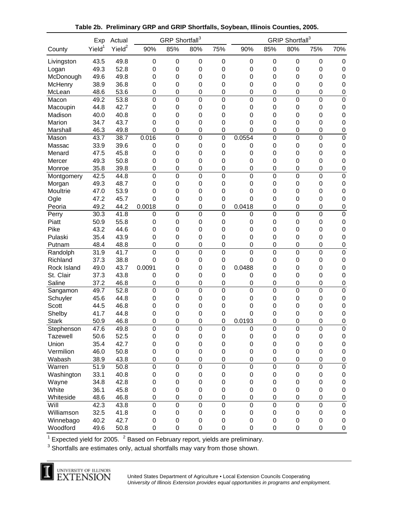|                  | Exp                | Actual             |                | GRP Shortfall <sup>3</sup> |                  |                  | GRIP Shortfall <sup>3</sup> |                  |                  |                  |                        |  |
|------------------|--------------------|--------------------|----------------|----------------------------|------------------|------------------|-----------------------------|------------------|------------------|------------------|------------------------|--|
| County           | Yield <sup>1</sup> | Yield <sup>2</sup> | 90%            | 85%                        | 80%              | 75%              | 90%                         | 85%              | 80%              | 75%              | 70%                    |  |
| Livingston       | 43.5               | 49.8               | $\mathbf 0$    | $\mathbf 0$                | $\mathbf 0$      | $\mathbf 0$      | 0                           | 0                | $\mathbf 0$      | 0                | $\mathbf 0$            |  |
| Logan            | 49.3               | 52.8               | $\mathbf 0$    | 0                          | $\mathbf 0$      | 0                | 0                           | 0                | 0                | 0                | $\boldsymbol{0}$       |  |
| McDonough        | 49.6               | 49.8               | 0              | 0                          | $\mathbf 0$      | 0                | 0                           | 0                | 0                | 0                | $\mathbf 0$            |  |
| McHenry          | 38.9               | 36.8               | 0              | 0                          | $\mathbf 0$      | $\mathbf 0$      | 0                           | 0                | 0                | 0                | $\boldsymbol{0}$       |  |
| McLean           | 48.6               | 53.6               | $\mathbf 0$    | $\mathbf 0$                | $\mathbf 0$      | $\mathbf 0$      | 0                           | 0                | $\mathbf 0$      | 0                | $\mathbf 0$            |  |
| Macon            | 49.2               | 53.8               | $\mathbf 0$    | $\pmb{0}$                  | $\mathbf 0$      | $\mathbf 0$      | $\mathbf 0$                 | $\mathbf 0$      | $\pmb{0}$        | 0                | $\mathbf 0$            |  |
| Macoupin         | 44.8               | 42.7               | $\mathbf 0$    | $\mathbf 0$                | $\mathbf 0$      | $\mathbf 0$      | 0                           | 0                | $\mathbf 0$      | 0                | $\mathbf 0$            |  |
| Madison          | 40.0               | 40.8               | 0              | 0                          | $\mathbf 0$      | $\mathbf 0$      | 0                           | 0                | $\mathbf 0$      | 0                | $\boldsymbol{0}$       |  |
| Marion           | 34.7               | 43.7               | 0              | 0                          | $\mathbf 0$      | 0                | 0                           | 0                | $\mathbf 0$      | 0                | $\boldsymbol{0}$       |  |
| Marshall         | 46.3               | 49.8               | 0              | $\mathbf 0$                | $\mathbf 0$      | $\mathbf 0$      | $\Omega$                    | 0                | $\mathbf 0$      | 0                | $\mathbf 0$            |  |
| Mason            | 43.7               | 38.7               | 0.016          | $\mathbf 0$                | $\mathbf 0$      | $\mathbf 0$      | 0.0554                      | $\mathbf 0$      | $\mathbf 0$      | $\pmb{0}$        | $\mathbf 0$            |  |
| Massac           | 33.9               | 39.6               | 0              | 0                          | $\mathbf 0$      | $\mathbf 0$      | 0                           | 0                | $\mathbf 0$      | 0                | $\boldsymbol{0}$       |  |
| Menard           | 47.5               | 45.8               | 0              | 0                          | $\mathbf 0$      | $\mathbf 0$      | 0                           | 0                | 0                | 0                | $\boldsymbol{0}$       |  |
| Mercer           | 49.3               | 50.8               | 0              | 0                          | $\mathbf 0$      | 0                | 0                           | 0                | 0                | 0                | $\boldsymbol{0}$       |  |
| Monroe           | 35.8               | 39.8               | $\mathbf 0$    | $\mathbf 0$                | $\mathbf 0$      | $\mathbf 0$      | 0                           | 0                | $\mathbf 0$      | 0                | $\boldsymbol{0}$       |  |
| Montgomery       | 42.5               | 44.8               | $\mathbf 0$    | $\mathbf 0$                | $\mathbf 0$      | $\mathbf 0$      | $\mathbf 0$                 | $\mathbf 0$      | $\mathbf 0$      | 0                | $\mathbf 0$            |  |
| Morgan           | 49.3               | 48.7               | $\mathbf 0$    | 0                          | $\mathbf 0$      | $\mathbf 0$      | 0                           | 0                | 0                | 0                | $\mathbf 0$            |  |
| Moultrie         | 47.0               | 53.9               | 0              | 0                          | 0                | 0                | 0                           | 0                | 0                | 0                | $\mathbf 0$            |  |
| Ogle             | 47.2               | 45.7               | $\Omega$       | 0                          | 0                | $\mathbf 0$      | $\Omega$                    | 0                | 0                | 0                | $\mathbf 0$            |  |
| Peoria           | 49.2               | 44.2               | 0.0018         | 0                          | $\mathbf 0$      | $\mathbf 0$      | 0.0418                      | 0                | $\mathbf 0$      | 0                | $\mathbf 0$            |  |
| Perry            | 30.3               | 41.8               | 0              | $\mathbf 0$                | $\overline{0}$   | $\mathbf 0$      | 0                           | $\mathbf 0$      | $\overline{0}$   | 0                | $\mathbf 0$            |  |
| Piatt            | 50.9               | 55.8               | $\mathbf 0$    | 0                          | $\mathbf 0$      | $\mathbf 0$      | 0                           | 0                | 0                | 0                | $\mathbf 0$            |  |
| Pike             | 43.2               | 44.6               | $\mathbf 0$    | 0                          | 0                | $\mathbf 0$      | 0                           | 0                | 0                | 0                | $\mathbf 0$            |  |
| Pulaski          | 35.4               | 43.9               | $\mathbf 0$    | 0                          | 0                | $\mathbf 0$      | 0                           | 0                | 0                | 0                | $\mathbf 0$            |  |
| Putnam           | 48.4               | 48.8               | $\mathbf 0$    | 0                          | $\mathbf 0$      | $\mathbf 0$      | 0                           | 0                | $\mathbf 0$      | 0                | $\pmb{0}$              |  |
| Randolph         | 31.9               | 41.7               | $\mathbf 0$    | $\boldsymbol{0}$           | $\mathbf 0$      | $\mathbf 0$      | $\mathbf 0$                 | $\mathbf 0$      | $\mathbf 0$      | $\boldsymbol{0}$ | $\mathbf 0$            |  |
| Richland         | 37.3               | 38.8               | 0              | 0                          | $\mathbf 0$      | $\boldsymbol{0}$ | $\mathbf 0$                 | 0                | $\mathbf 0$      | 0                | $\mathbf 0$            |  |
| Rock Island      | 49.0               | 43.7               | 0.0091         | 0                          | $\mathbf 0$      | $\mathbf 0$      | 0.0488                      | 0                | $\mathbf 0$      | 0                | $\mathbf 0$            |  |
| St. Clair        | 37.3               | 43.8               | 0              | 0                          | $\mathbf 0$      | $\boldsymbol{0}$ | 0                           | 0                | 0                | 0                | $\mathbf 0$            |  |
| Saline           | 37.2               | 46.8               | $\mathbf 0$    | 0                          | $\mathbf 0$      | $\mathbf 0$      | 0                           | 0                | $\mathbf 0$      | 0                | $\boldsymbol{0}$       |  |
| Sangamon         | 49.7               | 52.8               | $\overline{0}$ | $\overline{0}$             | $\overline{0}$   | $\overline{0}$   | $\overline{0}$              | $\mathbf 0$      | $\pmb{0}$        | 0                | $\overline{0}$         |  |
| Schuyler         | 45.6               | 44.8               | 0              | $\mathbf 0$                | $\mathbf 0$      | $\pmb{0}$        | 0                           | 0                | $\mathbf 0$      | 0                | $\mathbf 0$            |  |
| Scott            | 44.5               | 46.8               | 0              | 0                          | $\mathbf 0$      | $\mathbf 0$      | 0                           | 0                | 0                | 0                | $\mathbf 0$            |  |
| Shelby           | 41.7               | 44.8               | 0              | 0                          | 0                | 0                | 0                           | 0                | 0                | 0                | $\boldsymbol{0}$       |  |
| <b>Stark</b>     | 50.9               | 46.8               | $\Omega$       | 0                          | $\mathbf 0$      | $\mathbf 0$      | 0.0193                      | 0                | 0                | 0                | $\mathbf 0$            |  |
| Stephenson       | 47.6               | 49.8               | $\mathbf 0$    | $\mathbf 0$                | $\mathbf 0$      | $\mathbf 0$      | $\pmb{0}$                   | $\boldsymbol{0}$ | $\pmb{0}$        | $\mathsf 0$      | 0                      |  |
| Tazewell         | 50.6               | 52.5               | $\mathbf 0$    | $\mathbf 0$                | $\pmb{0}$        | $\mathbf 0$      | $\boldsymbol{0}$            | $\pmb{0}$        | $\mathbf 0$      | $\mathbf 0$      | $\pmb{0}$              |  |
| Union            | 35.4               | 42.7               | $\mathbf 0$    | $\mathbf 0$                | $\pmb{0}$        | $\mathbf 0$      | $\pmb{0}$                   | $\pmb{0}$        | $\mathbf 0$      | $\mathbf 0$      | $\pmb{0}$              |  |
| Vermilion        | 46.0               | 50.8               | $\mathbf 0$    | $\mathbf 0$                | $\pmb{0}$        | $\mathbf 0$      | $\pmb{0}$                   | $\pmb{0}$        | $\mathsf 0$      | $\mathbf 0$      | $\pmb{0}$              |  |
|                  | 38.9               | 43.8               | $\mathsf 0$    | $\pmb{0}$                  | $\pmb{0}$        | $\pmb{0}$        | $\mathsf 0$                 | $\mathbf 0$      | $\pmb{0}$        | 0                |                        |  |
| Wabash<br>Warren | 51.9               | 50.8               | $\mathsf 0$    | $\mathbf 0$                | $\mathbf 0$      | $\mathbf 0$      | $\mathbf 0$                 | $\mathbf 0$      | $\boldsymbol{0}$ | $\mathsf 0$      | $\pmb{0}$<br>$\pmb{0}$ |  |
| Washington       | 33.1               | 40.8               |                | $\mathbf 0$                | $\pmb{0}$        |                  | $\boldsymbol{0}$            | $\mathbf 0$      | $\boldsymbol{0}$ | $\pmb{0}$        |                        |  |
|                  |                    |                    | $\pmb{0}$      |                            |                  | $\mathbf 0$      |                             |                  |                  |                  | $\pmb{0}$              |  |
| Wayne            | 34.8               | 42.8               | $\pmb{0}$      | $\boldsymbol{0}$           | $\boldsymbol{0}$ | $\mathbf 0$      | $\mathbf 0$                 | $\mathbf 0$      | $\mathbf 0$      | $\mathbf 0$      | $\pmb{0}$              |  |
| White            | 36.1               | 45.8               | $\pmb{0}$      | $\mathbf 0$                | $\pmb{0}$        | $\pmb{0}$        | $\boldsymbol{0}$            | $\mathbf 0$      | $\pmb{0}$        | $\mathbf 0$      | $\pmb{0}$              |  |
| Whiteside        | 48.6               | 46.8               | $\mathbf 0$    | $\mathbf 0$                | $\pmb{0}$        | $\mathbf 0$      | 0                           | $\mathbf 0$      | $\pmb{0}$        | $\mathsf 0$      | $\pmb{0}$              |  |
| Will             | 42.3               | 43.8               | $\mathbf 0$    | $\mathbf 0$                | $\mathbf 0$      | $\mathbf 0$      | $\mathbf 0$                 | $\mathbf 0$      | $\mathbf 0$      | $\mathsf 0$      | $\pmb{0}$              |  |
| Williamson       | 32.5               | 41.8               | $\pmb{0}$      | $\pmb{0}$                  | $\pmb{0}$        | $\pmb{0}$        | $\boldsymbol{0}$            | $\pmb{0}$        | $\boldsymbol{0}$ | $\boldsymbol{0}$ | $\pmb{0}$              |  |
| Winnebago        | 40.2               | 42.7               | $\pmb{0}$      | $\pmb{0}$                  | $\boldsymbol{0}$ | $\pmb{0}$        | $\pmb{0}$                   | 0                | $\boldsymbol{0}$ | $\mathbf 0$      | $\pmb{0}$              |  |
| Woodford         | 49.6               | 50.8               | $\mathsf 0$    | $\pmb{0}$                  | $\mathbf 0$      | $\mathbf 0$      | 0                           | 0                | $\pmb{0}$        | $\mathsf 0$      | $\pmb{0}$              |  |

**Table 2b. Preliminary GRP and GRIP Shortfalls, Soybean, Illinois Counties, 2005.**

<sup>1</sup> Expected yield for 2005. <sup>2</sup> Based on February report, yields are preliminary.

 $3$  Shortfalls are estimates only, actual shortfalls may vary from those shown.

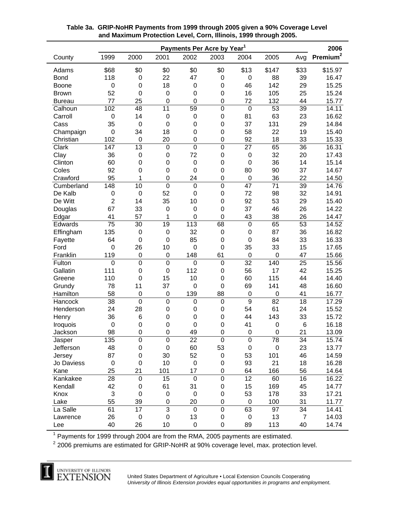|               | Payments Per Acre by Year <sup>1</sup> |                  |                  |                  |                  |                |             |                |                      |  |  |  |
|---------------|----------------------------------------|------------------|------------------|------------------|------------------|----------------|-------------|----------------|----------------------|--|--|--|
| County        | 1999                                   | 2000             | 2001             | 2002             | 2003             | 2004           | 2005        | Avg            | Premium <sup>2</sup> |  |  |  |
| Adams         | \$68                                   | \$0              | \$0              | \$0              | \$0              | \$13           | \$147       | \$33           | \$15.97              |  |  |  |
| <b>Bond</b>   | 118                                    | $\boldsymbol{0}$ | 22               | 47               | 0                | $\mathbf 0$    | 88          | 39             | 16.47                |  |  |  |
| <b>Boone</b>  | $\mathbf 0$                            | 0                | 18               | $\mathbf 0$      | $\boldsymbol{0}$ | 46             | 142         | 29             | 15.25                |  |  |  |
| <b>Brown</b>  | 52                                     | 0                | $\mathbf 0$      | 0                | $\boldsymbol{0}$ | 16             | 105         | 25             | 15.24                |  |  |  |
| <b>Bureau</b> | 77                                     | 25               | 0                | 0                | $\boldsymbol{0}$ | 72             | 132         | 44             | 15.77                |  |  |  |
| Calhoun       | 102                                    | 48               | $\overline{11}$  | $\overline{59}$  | $\mathbf 0$      | $\mathbf 0$    | 53          | 39             | 14.11                |  |  |  |
| Carroll       | $\mathbf 0$                            | 14               | $\mathbf 0$      | $\boldsymbol{0}$ | $\boldsymbol{0}$ | 81             | 63          | 23             | 16.62                |  |  |  |
| Cass          | 35                                     | $\boldsymbol{0}$ | $\mathbf 0$      | 0                | $\boldsymbol{0}$ | 37             | 131         | 29             | 14.84                |  |  |  |
| Champaign     | $\mathbf 0$                            | 34               | 18               | 0                | $\boldsymbol{0}$ | 58             | 22          | 19             | 15.40                |  |  |  |
| Christian     | 102                                    | 0                | 20               | 0                | $\boldsymbol{0}$ | 92             | 18          | 33             | 15.33                |  |  |  |
| Clark         | 147                                    | 13               | $\mathbf 0$      | $\overline{0}$   | $\mathbf 0$      | 27             | 65          | 36             | 16.31                |  |  |  |
| Clay          | 36                                     | $\boldsymbol{0}$ | 0                | 72               | $\boldsymbol{0}$ | $\mathbf 0$    | 32          | 20             | 17.43                |  |  |  |
| Clinton       | 60                                     | $\mathbf 0$      | $\mathbf 0$      | $\mathbf 0$      | $\boldsymbol{0}$ | $\mathbf 0$    | 36          | 14             | 15.14                |  |  |  |
| Coles         | 92                                     | $\mathbf 0$      | $\mathbf 0$      | 0                | $\boldsymbol{0}$ | 80             | 90          | 37             | 14.67                |  |  |  |
| Crawford      | 95                                     | 1                | $\mathbf 0$      | 24               | $\boldsymbol{0}$ | $\mathbf 0$    | 36          | 22             | 14.50                |  |  |  |
| Cumberland    | 148                                    | 10               | $\overline{0}$   | $\mathbf 0$      | $\mathbf 0$      | 47             | 71          | 39             | 14.76                |  |  |  |
| De Kalb       | 0                                      | $\boldsymbol{0}$ | 52               | 0                | $\boldsymbol{0}$ | 72             | 98          | 32             | 14.91                |  |  |  |
| De Witt       | $\overline{2}$                         | 14               | 35               | 10               | $\boldsymbol{0}$ | 92             | 53          | 29             | 15.40                |  |  |  |
| Douglas       | 67                                     | 33               | $\mathbf 0$      | $\mathbf 0$      | $\boldsymbol{0}$ | 37             | 46          | 26             | 14.22                |  |  |  |
| Edgar         | 41                                     | 57               | 1                | 0                | $\mathbf 0$      | 43             | 38          | 26             | 14.47                |  |  |  |
| Edwards       | 75                                     | 30               | 19               | 113              | 68               | $\mathbf 0$    | 65          | 53             | 14.52                |  |  |  |
| Effingham     | 135                                    | $\boldsymbol{0}$ | $\mathbf 0$      | 32               | $\boldsymbol{0}$ | $\mathbf 0$    | 87          | 36             | 16.82                |  |  |  |
| Fayette       | 64                                     | $\boldsymbol{0}$ | $\mathbf 0$      | 85               | $\boldsymbol{0}$ | $\mathbf 0$    | 84          | 33             | 16.33                |  |  |  |
| Ford          | $\mathbf 0$                            | 26               | 10               | $\mathbf 0$      | $\mathbf 0$      | 35             | 33          | 15             | 17.65                |  |  |  |
| Franklin      | 119                                    | $\boldsymbol{0}$ | $\mathbf 0$      | 148              | 61               | $\mathbf 0$    | 0           | 47             | 15.66                |  |  |  |
| Fulton        | $\mathbf 0$                            | $\mathbf 0$      | $\boldsymbol{0}$ | $\mathbf 0$      | $\mathbf 0$      | 32             | 140         | 25             | 15.56                |  |  |  |
| Gallatin      | 111                                    | $\mathbf 0$      | $\mathbf 0$      | 112              | $\mathbf 0$      | 56             | 17          | 42             | 15.25                |  |  |  |
| Greene        | 110                                    | $\boldsymbol{0}$ | 15               | 10               | $\boldsymbol{0}$ | 60             | 115         | 44             | 14.40                |  |  |  |
| Grundy        | 78                                     | 11               | 37               | 0                | $\boldsymbol{0}$ | 69             | 141         | 48             | 16.60                |  |  |  |
| Hamilton      | 58                                     | $\boldsymbol{0}$ | $\mathbf 0$      | 139              | 88               | $\mathbf 0$    | 0           | 41             | 16.77                |  |  |  |
| Hancock       | 38                                     | $\mathbf 0$      | $\boldsymbol{0}$ | $\mathbf 0$      | $\boldsymbol{0}$ | $\overline{9}$ | 82          | 18             | 17.29                |  |  |  |
| Henderson     | 24                                     | 28               | 0                | 0                | $\mathbf 0$      | 54             | 61          | 24             | 15.52                |  |  |  |
| Henry         | 36                                     | 6                | $\mathbf 0$      | 0                | $\mathbf 0$      | 44             | 143         | 33             | 15.72                |  |  |  |
| Iroquois      | $\mathbf 0$                            | $\boldsymbol{0}$ | $\mathbf 0$      | 0                | $\boldsymbol{0}$ | 41             | 0           | 6              | 16.18                |  |  |  |
| Jackson       | 98                                     | $\mathbf 0$      | $\mathbf 0$      | 49               | $\mathbf 0$      | $\mathbf 0$    | $\mathbf 0$ | 21             | 13.09                |  |  |  |
| Jasper        | 135                                    | 0                | $\mathbf 0$      | 22               | $\mathbf 0$      | $\overline{0}$ | 78          | 34             | 15.74                |  |  |  |
| Jefferson     | 48                                     | 0                | $\boldsymbol{0}$ | 60               | 53               | $\pmb{0}$      | $\pmb{0}$   | 23             | 13.77                |  |  |  |
| Jersey        | 87                                     | 0                | 30               | 52               | 0                | 53             | 101         | 46             | 14.59                |  |  |  |
| Jo Daviess    | $\pmb{0}$                              | 0                | 10               | $\mathbf 0$      | 0                | 93             | 21          | 18             | 16.28                |  |  |  |
| Kane          | 25                                     | 21               | 101              | 17               | $\boldsymbol{0}$ | 64             | 166         | 56             | 14.64                |  |  |  |
| Kankakee      | 28                                     | $\pmb{0}$        | 15               | $\boldsymbol{0}$ | $\boldsymbol{0}$ | 12             | 60          | 16             | 16.22                |  |  |  |
| Kendall       | 42                                     | $\pmb{0}$        | 61               | 31               | 0                | 15             | 169         | 45             | 14.77                |  |  |  |
| Knox          | 3                                      | $\pmb{0}$        | $\pmb{0}$        | $\mathbf 0$      | $\mathbf 0$      | 53             | 178         | 33             | 17.21                |  |  |  |
| Lake          | 55                                     | 39               | 0                | 20               | $\boldsymbol{0}$ | $\pmb{0}$      | 100         | 31             | 11.77                |  |  |  |
| La Salle      | 61                                     | 17               | $\overline{3}$   | $\boldsymbol{0}$ | $\mathsf 0$      | 63             | 97          | 34             | 14.41                |  |  |  |
| Lawrence      | 26                                     | $\pmb{0}$        | $\boldsymbol{0}$ | 13               | 0                | $\pmb{0}$      | 13          | $\overline{7}$ | 14.03                |  |  |  |
| Lee           | 40                                     | 26               | 10               | $\mathbf 0$      | $\pmb{0}$        | 89             | 113         | 40             | 14.74                |  |  |  |

# **Table 3a. GRIP-NoHR Payments from 1999 through 2005 given a 90% Coverage Level and Maximum Protection Level, Corn, Illinois, 1999 through 2005.**

 $1$  Payments for 1999 through 2004 are from the RMA, 2005 payments are estimated.

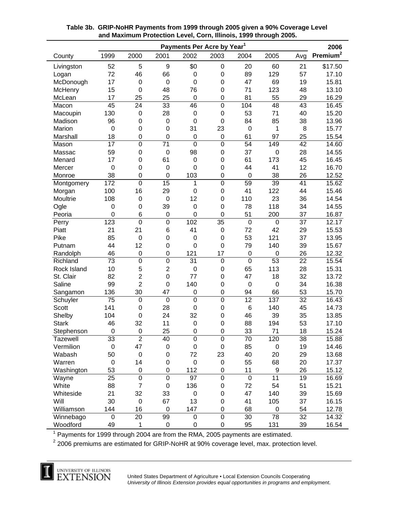| Payments Per Acre by Year <sup>1</sup> |                  |                  |                  |                  |                  |                  |                  |                 |                      |  |  |
|----------------------------------------|------------------|------------------|------------------|------------------|------------------|------------------|------------------|-----------------|----------------------|--|--|
| County                                 | 1999             | 2000             | 2001             | 2002             | 2003             | 2004             | 2005             | Avg             | Premium <sup>2</sup> |  |  |
| Livingston                             | 52               | 5                | 9                | \$0              | $\boldsymbol{0}$ | 20               | 60               | 21              | \$17.50              |  |  |
| Logan                                  | 72               | 46               | 66               | 0                | $\boldsymbol{0}$ | 89               | 129              | 57              | 17.10                |  |  |
| McDonough                              | 17               | $\mathbf 0$      | $\mathbf 0$      | $\mathbf 0$      | $\mathbf 0$      | 47               | 69               | 19              | 15.81                |  |  |
| McHenry                                | 15               | $\mathbf 0$      | 48               | 76               | $\mathbf 0$      | 71               | 123              | 48              | 13.10                |  |  |
| McLean                                 | 17               | 25               | 25               | $\mathbf 0$      | 0                | 81               | 55               | 29              | 16.29                |  |  |
| Macon                                  | 45               | 24               | 33               | 46               | $\mathbf 0$      | 104              | 48               | 43              | 16.45                |  |  |
| Macoupin                               | 130              | $\mathbf 0$      | 28               | $\boldsymbol{0}$ | $\boldsymbol{0}$ | 53               | 71               | 40              | 15.20                |  |  |
| Madison                                | 96               | $\mathbf 0$      | $\boldsymbol{0}$ | $\mathbf 0$      | $\boldsymbol{0}$ | 84               | 85               | 38              | 13.96                |  |  |
| Marion                                 | 0                | $\mathbf 0$      | $\mathbf 0$      | 31               | 23               | 0                | 1                | 8               | 15.77                |  |  |
| Marshall                               | 18               | 0                | $\mathbf 0$      | $\boldsymbol{0}$ | $\boldsymbol{0}$ | 61               | 97               | 25              | 15.54                |  |  |
| Mason                                  | 17               | $\mathbf 0$      | 71               | $\overline{0}$   | $\mathbf 0$      | 54               | 149              | 42              | 14.60                |  |  |
| Massac                                 | 59               | $\mathbf 0$      | $\mathbf 0$      | 98               | $\boldsymbol{0}$ | 37               | $\mathbf 0$      | 28              | 14.55                |  |  |
| Menard                                 | 17               | 0                | 61               | $\boldsymbol{0}$ | $\boldsymbol{0}$ | 61               | 173              | 45              | 16.45                |  |  |
| Mercer                                 | 0                | 0                | $\mathbf 0$      | $\mathbf 0$      | $\mathbf 0$      | 44               | 41               | 12              | 16.70                |  |  |
| Monroe                                 | 38               | 0                | $\mathbf 0$      | 103              | $\boldsymbol{0}$ | $\mathbf 0$      | 38               | 26              | 12.52                |  |  |
| Montgomery                             | 172              | $\mathbf 0$      | 15               | 1                | $\mathbf 0$      | 59               | 39               | 41              | 15.62                |  |  |
| Morgan                                 | 100              | 16               | 29               | $\mathbf 0$      | $\boldsymbol{0}$ | 41               | 122              | 44              | 15.46                |  |  |
| Moultrie                               | 108              | $\boldsymbol{0}$ | $\mathbf 0$      | 12               | $\boldsymbol{0}$ | 110              | 23               | 36              | 14.54                |  |  |
| Ogle                                   | $\boldsymbol{0}$ | $\mathbf 0$      | 39               | $\boldsymbol{0}$ | $\boldsymbol{0}$ | 78               | 118              | 34              | 14.55                |  |  |
| Peoria                                 | 0                | 6                | $\mathbf 0$      | $\mathbf 0$      | $\mathbf 0$      | 51               | 200              | 37              | 16.87                |  |  |
| Perry                                  | 123              | 0                | $\overline{0}$   | 102              | 35               | $\mathbf 0$      | $\mathbf 0$      | 37              | 12.17                |  |  |
| Piatt                                  | 21               | 21               | 6                | 41               | $\boldsymbol{0}$ | 72               | 42               | 29              | 15.53                |  |  |
| Pike                                   | 85               | $\mathbf 0$      | 0                | $\boldsymbol{0}$ | $\boldsymbol{0}$ | 53               | 121              | 37              | 13.95                |  |  |
| Putnam                                 | 44               | 12               | 0                | $\mathbf 0$      | $\boldsymbol{0}$ | 79               | 140              | 39              | 15.67                |  |  |
| Randolph                               | 46               | $\boldsymbol{0}$ | $\mathbf 0$      | 121              | 17               | 0                | $\mathbf 0$      | 26              | 12.32                |  |  |
| Richland                               | $\overline{73}$  | $\overline{0}$   | $\overline{0}$   | 31               | $\overline{0}$   | $\overline{0}$   | $\overline{53}$  | 22              | 15.54                |  |  |
| Rock Island                            | 10               | 5                | $\overline{2}$   | $\mathbf 0$      | $\pmb{0}$        | 65               | 113              | 28              | 15.31                |  |  |
| St. Clair                              | 82               | $\overline{c}$   | $\mathbf 0$      | 77               | $\boldsymbol{0}$ | 47               | 18               | 32              | 13.72                |  |  |
| Saline                                 | 99               | $\overline{2}$   | $\mathbf 0$      | 140              | 0                | $\boldsymbol{0}$ | $\boldsymbol{0}$ | 34              | 16.38                |  |  |
| Sangamon                               | 136              | 30               | 47               | $\mathbf 0$      | 0                | 94               | 66               | 53              | 15.70                |  |  |
| Schuyler                               | $\overline{75}$  | $\mathbf 0$      | $\mathbf 0$      | $\overline{0}$   | $\mathbf 0$      | $\overline{12}$  | $\overline{137}$ | $\overline{32}$ | 16.43                |  |  |
| <b>Scott</b>                           | 141              | $\boldsymbol{0}$ | 28               | $\mathbf 0$      | $\boldsymbol{0}$ | $6\phantom{1}6$  | 140              | 45              | 14.73                |  |  |
| Shelby                                 | 104              | $\mathbf 0$      | 24               | 32               | $\boldsymbol{0}$ | 46               | 39               | 35              | 13.85                |  |  |
| <b>Stark</b>                           | 46               | 32               | 11               | $\mathbf 0$      | $\boldsymbol{0}$ | 88               | 194              | 53              | 17.10                |  |  |
| Stephenson                             | $\mathbf 0$      | $\mathbf 0$      | 25               | $\mathbf 0$      | $\mathbf 0$      | 33               | 71               | 18              | 15.24                |  |  |
| Tazewell                               | 33               | $\overline{2}$   | 40               | $\mathsf 0$      | $\boldsymbol{0}$ | 70               | 120              | 38              | 15.88                |  |  |
| Vermilion                              | $\boldsymbol{0}$ | 47               | $\boldsymbol{0}$ | 0                | $\pmb{0}$        | 85               | 0                | 19              | 14.46                |  |  |
| Wabash                                 | 50               | $\,0\,$          | $\boldsymbol{0}$ | 72               | 23               | 40               | 20               | 29              | 13.68                |  |  |
| Warren                                 | $\boldsymbol{0}$ | 14               | $\boldsymbol{0}$ | $\mathbf 0$      | 0                | 55               | 68               | 20              | 17.37                |  |  |
| Washington                             | 53               | $\mathbf 0$      | $\pmb{0}$        | 112              | 0                | 11               | 9                | 26              | 15.12                |  |  |
| Wayne                                  | 25               | $\pmb{0}$        | $\boldsymbol{0}$ | 97               | $\mathbf 0$      | $\mathbf 0$      | 11               | 19              | 16.69                |  |  |
| White                                  | 88               | $\overline{7}$   | $\boldsymbol{0}$ | 136              | 0                | 72               | 54               | 51              | 15.21                |  |  |
| Whiteside                              | 21               | 32               | 33               | $\mathbf 0$      | 0                | 47               | 140              | 39              | 15.69                |  |  |
| Will                                   | 30               | $\,0\,$          | 67               | 13               | 0                | 41               | 105              | 37              | 16.15                |  |  |
| Williamson                             | 144              | 16               | $\mathbf 0$      | 147              | 0                | 68               | $\pmb{0}$        | 54              | 12.78                |  |  |
| Winnebago                              | $\boldsymbol{0}$ | 20               | 99               | $\boldsymbol{0}$ | $\boldsymbol{0}$ | 30               | 78               | 32              | 14.32                |  |  |
| Woodford                               | 49               | 1                | $\boldsymbol{0}$ | $\mathbf 0$      | $\pmb{0}$        | 95               | 131              | 39              | 16.54                |  |  |

# **Table 3b. GRIP-NoHR Payments from 1999 through 2005 given a 90% Coverage Level and Maximum Protection Level, Corn, Illinois, 1999 through 2005.**

 $1$  Payments for 1999 through 2004 are from the RMA, 2005 payments are estimated.

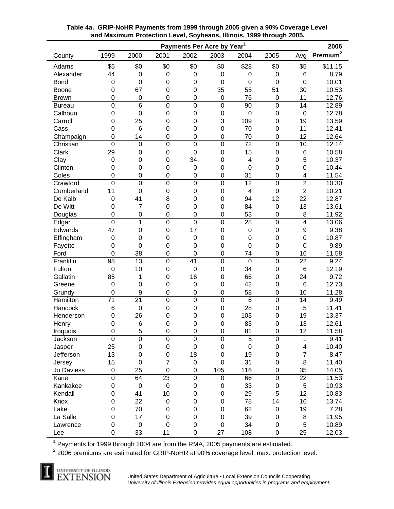| Payments Per Acre by Year <sup>1</sup>   |                                    |                  |                  |                     |                  |                         |                  |                          |                      |  |  |
|------------------------------------------|------------------------------------|------------------|------------------|---------------------|------------------|-------------------------|------------------|--------------------------|----------------------|--|--|
| County                                   | 1999                               | 2000             | 2001             | 2002                | 2003             | 2004                    | 2005             | Avg                      | Premium <sup>2</sup> |  |  |
| Adams                                    | \$5                                | \$0              | \$0              | \$0                 | \$0              | \$28                    | \$0              | \$5                      | \$11.15              |  |  |
| Alexander                                | 44                                 | $\boldsymbol{0}$ | $\mathbf 0$      | 0                   | $\boldsymbol{0}$ | 0                       | $\boldsymbol{0}$ | 6                        | 8.79                 |  |  |
| <b>Bond</b>                              | $\mathbf 0$                        | $\mathbf 0$      | $\mathbf 0$      | $\mathbf 0$         | $\mathbf 0$      | 0                       | $\mathbf 0$      | $\mathbf 0$              | 10.01                |  |  |
| Boone                                    | 0                                  | 67               | $\mathbf 0$      | 0                   | 35               | 55                      | 51               | 30                       | 10.53                |  |  |
| <b>Brown</b>                             | $\mathbf 0$                        | $\mathbf 0$      | $\mathbf 0$      | 0                   | $\boldsymbol{0}$ | 76                      | $\mathbf 0$      | 11                       | 12.76                |  |  |
| <b>Bureau</b>                            | $\overline{0}$                     | 6                | $\mathbf 0$      | $\mathbf 0$         | $\mathbf 0$      | 90                      | $\mathbf 0$      | 14                       | 12.89                |  |  |
| Calhoun                                  | 0                                  | $\mathbf 0$      | $\mathbf 0$      | $\mathbf 0$         | $\boldsymbol{0}$ | 0                       | $\mathbf 0$      | $\mathbf 0$              | 12.78                |  |  |
| Carroll                                  | 0                                  | 25               | $\mathbf 0$      | $\mathbf 0$         | 3                | 109                     | $\mathbf 0$      | 19                       | 13.59                |  |  |
| Cass                                     | 0                                  | 6                | $\mathbf 0$      | $\mathbf 0$         | $\mathbf 0$      | 70                      | $\mathbf 0$      | 11                       | 12.41                |  |  |
| Champaign                                | 0                                  | 14               | $\mathbf 0$      | $\mathbf 0$         | $\mathbf 0$      | 70                      | $\mathbf 0$      | 12                       | 12.64                |  |  |
| Christian                                | $\overline{0}$                     | $\mathbf 0$      | $\overline{0}$   | $\mathbf 0$         | $\mathbf 0$      | $\overline{72}$         | $\mathbf 0$      | 10                       | 12.14                |  |  |
| Clark                                    | 29                                 | 0                | $\mathbf 0$      | $\mathbf 0$         | $\boldsymbol{0}$ | 15                      | $\boldsymbol{0}$ | 6                        | 10.58                |  |  |
| Clay                                     | 0                                  | 0                | $\mathbf 0$      | 34                  | $\mathbf 0$      | 4                       | $\mathbf 0$      | 5                        | 10.37                |  |  |
| Clinton                                  | 0                                  | 0                | $\mathbf 0$      | $\boldsymbol{0}$    | $\mathbf 0$      | $\mathbf 0$             | $\mathbf 0$      | 0                        | 10.44                |  |  |
| Coles                                    | 0                                  | 0                | $\mathbf 0$      | $\mathbf 0$         | $\boldsymbol{0}$ | 31                      | $\mathbf 0$      | 4                        | 11.54                |  |  |
| Crawford                                 | 0                                  | $\overline{0}$   | $\mathbf 0$      | $\mathbf 0$         | $\mathbf 0$      | 12                      | $\mathbf 0$      | $\overline{2}$           | 10.30                |  |  |
| Cumberland                               | 11                                 | $\mathbf 0$      | $\mathbf 0$      | $\mathbf 0$         | $\boldsymbol{0}$ | $\overline{\mathbf{4}}$ | $\pmb{0}$        | $\overline{c}$           | 10.21                |  |  |
| De Kalb                                  | 0                                  | 41               | 8                | $\boldsymbol{0}$    | $\boldsymbol{0}$ | 94                      | 12               | 22                       | 12.87                |  |  |
| De Witt                                  | 0                                  | 7                | $\mathbf 0$      | $\mathbf 0$         | $\boldsymbol{0}$ | 84                      | $\boldsymbol{0}$ | 13                       | 13.61                |  |  |
| Douglas                                  | 0                                  | 0                | $\mathbf 0$      | $\mathbf 0$         | $\boldsymbol{0}$ | 53                      | $\mathbf 0$      | 8                        | 11.92                |  |  |
| Edgar                                    | 0                                  | 1                | $\mathbf 0$      | $\overline{0}$      | $\mathbf 0$      | 28                      | $\mathbf 0$      | $\overline{\mathcal{A}}$ | 13.06                |  |  |
| Edwards                                  | 47                                 | $\boldsymbol{0}$ | $\mathbf 0$      | 17                  | $\boldsymbol{0}$ | $\pmb{0}$               | $\boldsymbol{0}$ | 9                        | 9.38                 |  |  |
| Effingham                                | $\boldsymbol{0}$                   | $\boldsymbol{0}$ | $\mathbf 0$      | $\boldsymbol{0}$    | $\boldsymbol{0}$ | $\mathbf 0$             | $\boldsymbol{0}$ | 0                        | 10.87                |  |  |
| Fayette                                  | 0                                  | $\boldsymbol{0}$ | $\mathbf 0$      | $\mathbf 0$         | $\boldsymbol{0}$ | 0                       | 0                | 0                        | 9.89                 |  |  |
| Ford                                     | 0                                  | 38               | $\mathbf 0$      | $\mathbf 0$         | $\boldsymbol{0}$ | 74                      | $\mathsf 0$      | 16                       | 11.58                |  |  |
| Franklin                                 | 98                                 | 13               | $\mathsf 0$      | 41                  | $\mathbf 0$      | $\mathbf 0$             | $\pmb{0}$        | 22                       | 9.24                 |  |  |
| Fulton                                   | $\mathbf 0$                        | 10               | $\mathbf 0$      | $\boldsymbol{0}$    | $\boldsymbol{0}$ | 34                      | $\pmb{0}$        | 6                        | 12.19                |  |  |
| Gallatin                                 | 85                                 | 1                | $\mathbf 0$      | 16                  | $\boldsymbol{0}$ | 66                      | $\boldsymbol{0}$ | 24                       | 9.72                 |  |  |
| Greene                                   | $\mathbf 0$                        | $\mathbf 0$      | $\mathbf 0$      | $\mathbf 0$         | $\boldsymbol{0}$ | 42                      | $\pmb{0}$        | $6\phantom{1}6$          | 12.73                |  |  |
| Grundy                                   | 0                                  | 9                | $\mathbf 0$      | $\boldsymbol{0}$    | $\boldsymbol{0}$ | 58                      | 0                | 10                       | 11.28                |  |  |
| Hamilton                                 | 71                                 | 21               | $\mathbf 0$      | $\mathbf 0$         | $\mathbf 0$      | $6\phantom{1}$          | $\mathbf 0$      | 14                       | 9.49                 |  |  |
| Hancock                                  | 6                                  | $\mathbf 0$      | $\mathbf 0$      | 0                   | $\boldsymbol{0}$ | 28                      | $\pmb{0}$        | 5                        | 11.41                |  |  |
| Henderson                                | 0                                  | 26               | $\mathbf 0$      | 0                   | $\boldsymbol{0}$ | 103                     | $\boldsymbol{0}$ | 19                       | 13.37                |  |  |
| Henry                                    | 0                                  | 6                | $\mathbf 0$      | $\mathbf 0$         | $\mathbf 0$      | 83                      | $\mathbf 0$      | 13                       | 12.61                |  |  |
|                                          | 0                                  | 5                | 0                |                     | 0                |                         | 0                | 12                       | 11.58                |  |  |
| <i><u><b>Iroquois</b></u></i><br>Jackson | $\overline{0}$                     | $\overline{0}$   | $\overline{0}$   | O<br>$\overline{0}$ | $\mathbf 0$      | 81<br>$\overline{5}$    | $\mathbf 0$      | 1                        | 9.41                 |  |  |
| Jasper                                   | 25                                 | $\boldsymbol{0}$ | $\boldsymbol{0}$ | $\boldsymbol{0}$    | $\boldsymbol{0}$ | $\pmb{0}$               | $\pmb{0}$        | 4                        | 10.40                |  |  |
| Jefferson                                | 13                                 | $\boldsymbol{0}$ | $\boldsymbol{0}$ | 18                  | $\boldsymbol{0}$ | 19                      | $\pmb{0}$        | $\overline{7}$           | 8.47                 |  |  |
| Jersey                                   | 15                                 | $\boldsymbol{0}$ | $\overline{7}$   | $\boldsymbol{0}$    | $\boldsymbol{0}$ | 31                      | $\mathbf 0$      | 8                        | 11.40                |  |  |
|                                          |                                    |                  |                  |                     |                  |                         |                  |                          |                      |  |  |
| Jo Daviess                               | $\boldsymbol{0}$<br>$\overline{0}$ | 25               | $\mathbf 0$      | 0                   | 105              | 116                     | 0<br>$\mathbf 0$ | 35                       | 14.05                |  |  |
| Kane                                     |                                    | 64               | 23               | 0                   | 0                | 66                      |                  | 22                       | 11.53                |  |  |
| Kankakee                                 | $\boldsymbol{0}$                   | $\boldsymbol{0}$ | $\boldsymbol{0}$ | 0                   | 0                | 33                      | 0                | $\,$ 5 $\,$              | 10.93                |  |  |
| Kendall                                  | $\boldsymbol{0}$                   | 41               | 10               | 0                   | 0                | 29                      | 5                | 12                       | 10.83                |  |  |
| Knox                                     | $\boldsymbol{0}$                   | 22               | $\boldsymbol{0}$ | $\mathbf 0$         | $\pmb{0}$        | 78                      | 14               | 16                       | 13.74                |  |  |
| Lake                                     | 0                                  | 70               | $\boldsymbol{0}$ | 0                   | 0                | 62                      | 0                | 19                       | 7.28                 |  |  |
| La Salle                                 | $\mathbf 0$                        | 17               | $\boldsymbol{0}$ | $\mathsf 0$         | $\mathbf 0$      | 39                      | $\mathbf 0$      | 8                        | 11.95                |  |  |
| Lawrence                                 | 0                                  | $\boldsymbol{0}$ | $\mathbf 0$      | 0                   | $\pmb{0}$        | 34                      | 0                | 5                        | 10.89                |  |  |
| Lee                                      | $\mathbf 0$                        | 33               | 11               | $\mathsf 0$         | 27               | 108                     | 0                | 25                       | 12.03                |  |  |

### **Table 4a. GRIP-NoHR Payments from 1999 through 2005 given a 90% Coverage Level and Maximum Protection Level, Soybeans, Illinois, 1999 through 2005.**

 $1$  Payments for 1999 through 2004 are from the RMA, 2005 payments are estimated.